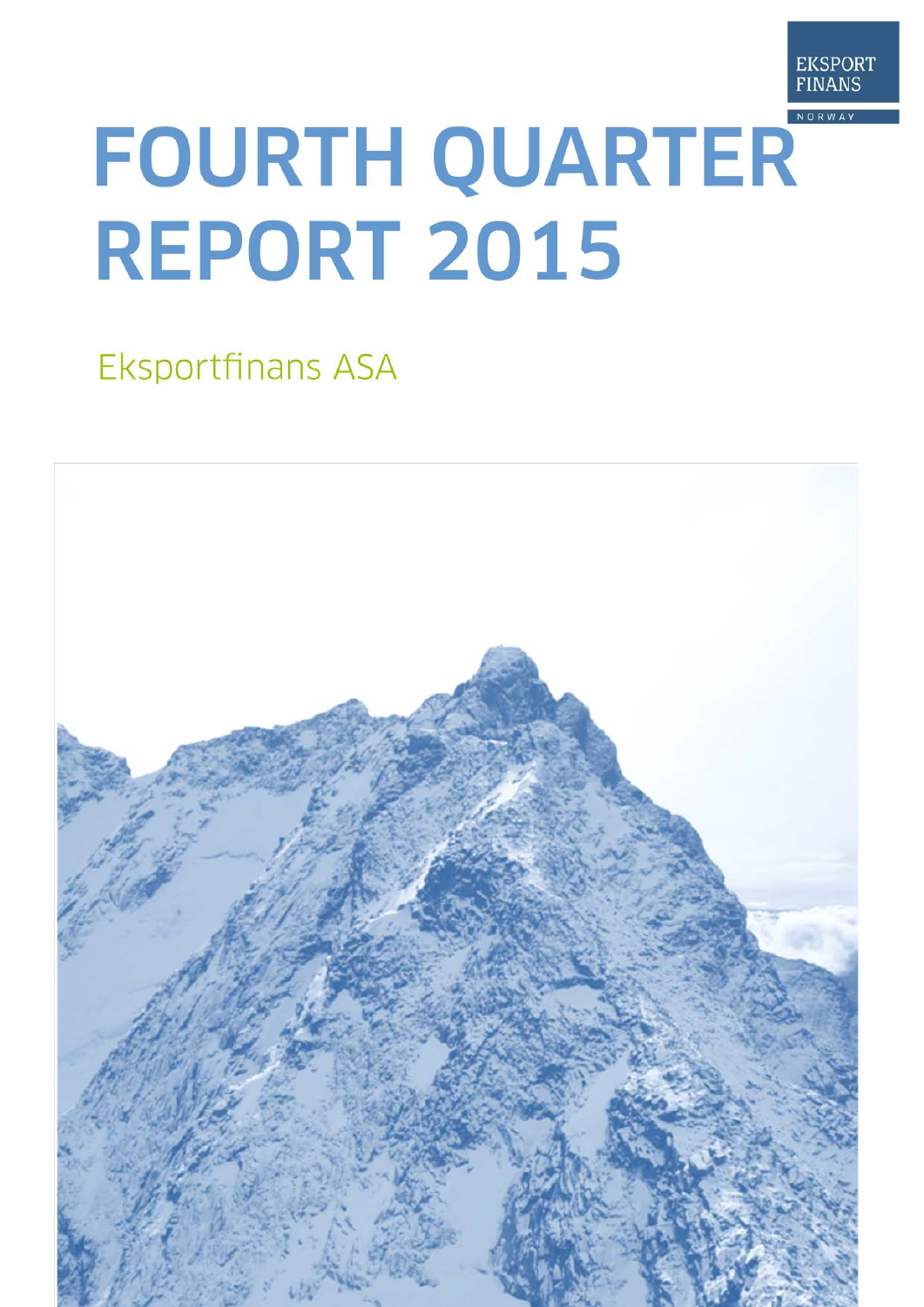

# FOURTH QUARTER **REPORT 2015**

## Eksportfinans ASA

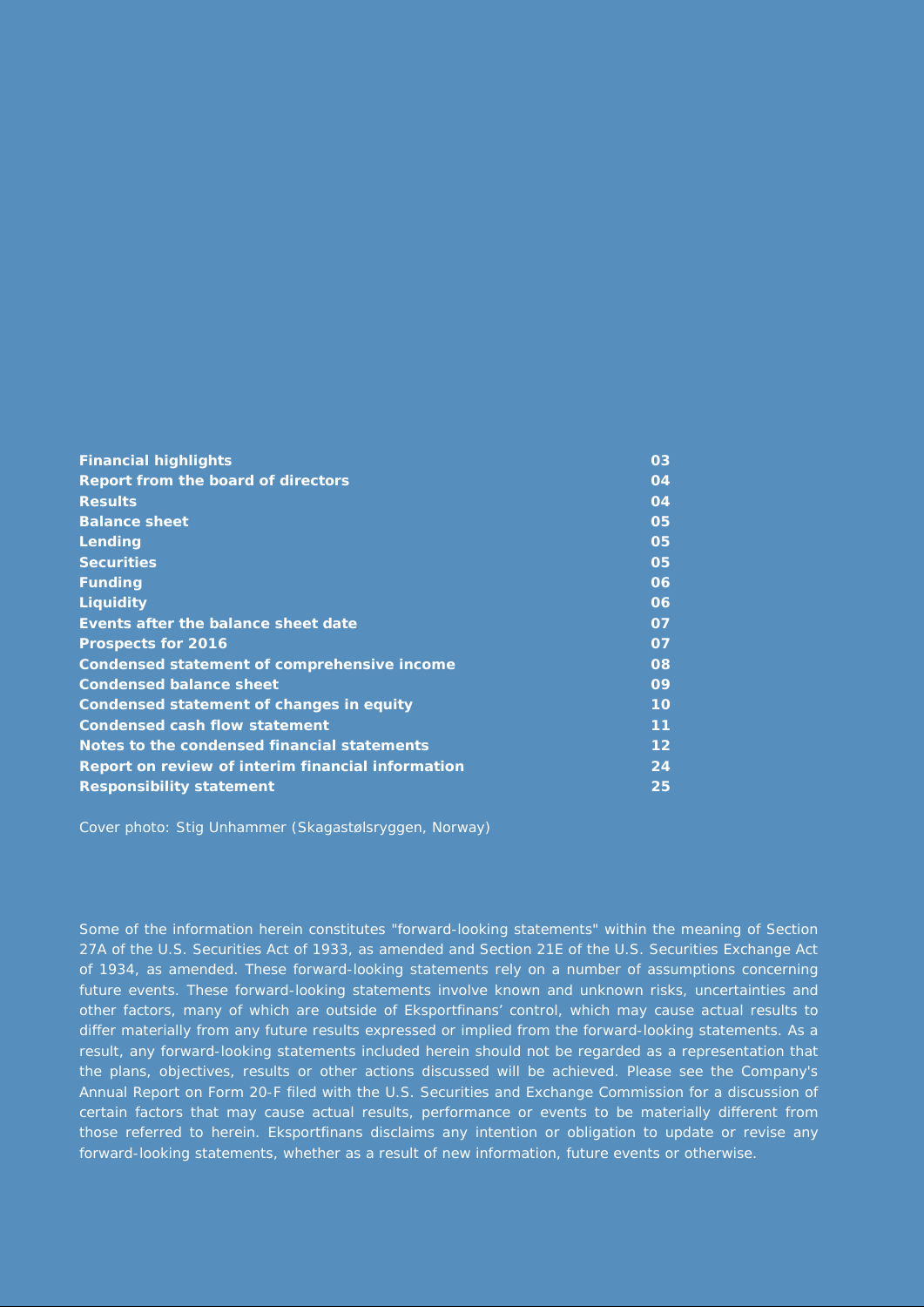| <b>Financial highlights</b>                       | 03                |
|---------------------------------------------------|-------------------|
| Report from the board of directors                | 04                |
| <b>Results</b>                                    | 04                |
| <b>Balance sheet</b>                              | 05                |
| Lending                                           | 05                |
| <b>Securities</b>                                 | 05                |
| <b>Funding</b>                                    | 06                |
| <b>Liquidity</b>                                  | 06                |
| Events after the balance sheet date               | 07                |
| <b>Prospects for 2016</b>                         | 07                |
| Condensed statement of comprehensive income       | 08                |
| <b>Condensed balance sheet</b>                    | 09                |
| Condensed statement of changes in equity          | 10                |
| <b>Condensed cash flow statement</b>              | 11                |
| Notes to the condensed financial statements       | $12 \overline{ }$ |
| Report on review of interim financial information | 24                |
| <b>Responsibility statement</b>                   | 25                |

Cover photo: Stig Unhammer (Skagastølsryggen, Norway)

Some of the information herein constitutes "forward-looking statements" within the meaning of Section 27A of the U.S. Securities Act of 1933, as amended and Section 21E of the U.S. Securities Exchange Act of 1934, as amended. These forward-looking statements rely on a number of assumptions concerning future events. These forward-looking statements involve known and unknown risks, uncertainties and other factors, many of which are outside of Eksportfinans' control, which may cause actual results to differ materially from any future results expressed or implied from the forward-looking statements. As a result, any forward-looking statements included herein should not be regarded as a representation that the plans, objectives, results or other actions discussed will be achieved. Please see the Company's Annual Report on Form 20-F filed with the U.S. Securities and Exchange Commission for a discussion of certain factors that may cause actual results, performance or events to be materially different from those referred to herein. Eksportfinans disclaims any intention or obligation to update or revise any forward-looking statements, whether as a result of new information, future events or otherwise.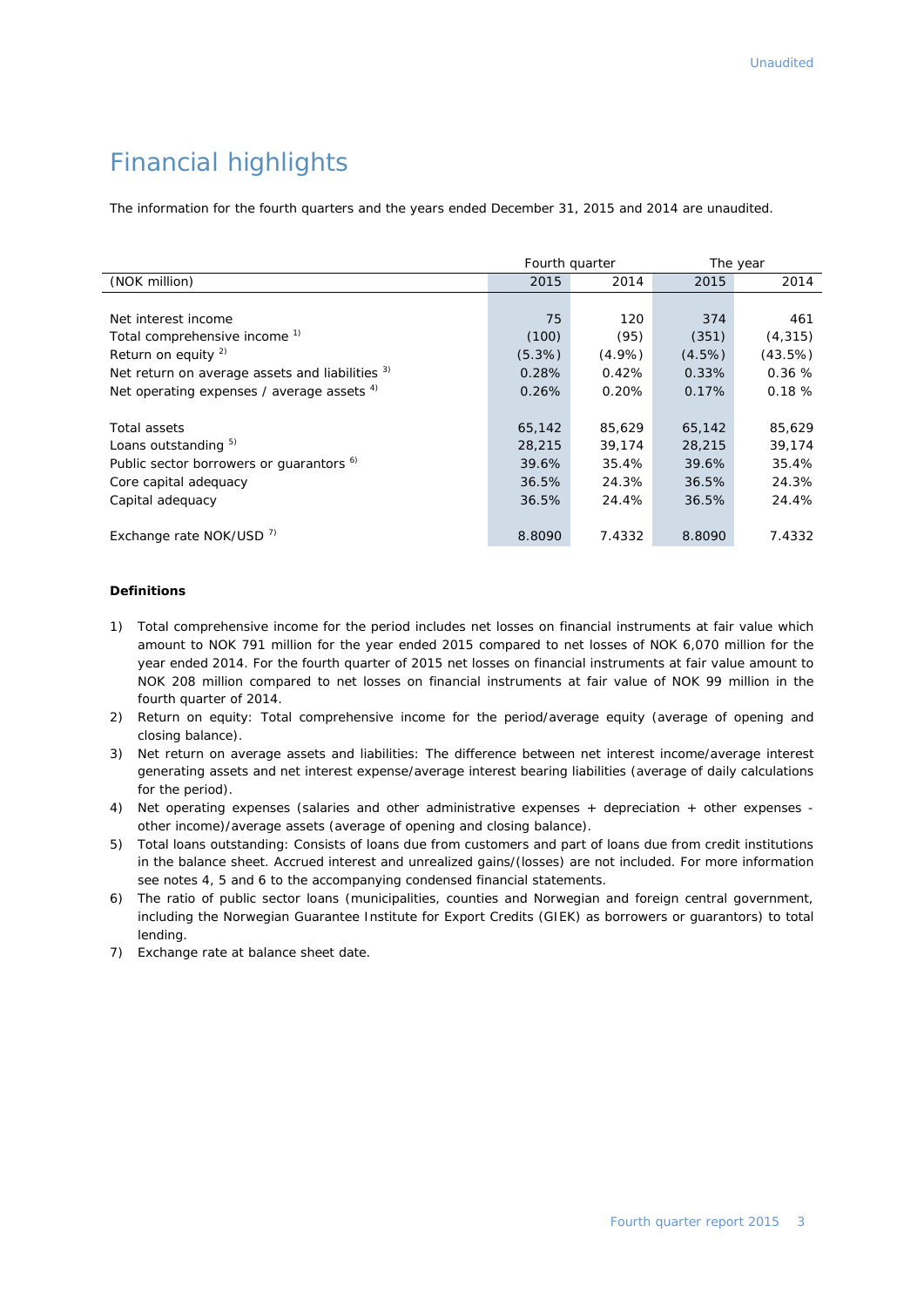### Financial highlights

The information for the fourth quarters and the years ended December 31, 2015 and 2014 are unaudited.

|                                                     | Fourth quarter |           |           | The year |
|-----------------------------------------------------|----------------|-----------|-----------|----------|
| (NOK million)                                       | 2015           | 2014      | 2015      | 2014     |
|                                                     |                |           |           |          |
| Net interest income                                 | 75             | 120       | 374       | 461      |
| Total comprehensive income <sup>1)</sup>            | (100)          | (95)      | (351)     | (4, 315) |
| Return on equity $^{2)}$                            | (5.3%)         | $(4.9\%)$ | $(4.5\%)$ | (43.5%)  |
| Net return on average assets and liabilities 3)     | 0.28%          | 0.42%     | 0.33%     | 0.36%    |
| Net operating expenses / average assets $4$ )       | 0.26%          | 0.20%     | 0.17%     | 0.18%    |
|                                                     |                |           |           |          |
| Total assets                                        | 65,142         | 85,629    | 65,142    | 85,629   |
| Loans outstanding 5)                                | 28,215         | 39,174    | 28,215    | 39,174   |
| Public sector borrowers or quarantors <sup>6)</sup> | 39.6%          | 35.4%     | 39.6%     | 35.4%    |
| Core capital adequacy                               | 36.5%          | 24.3%     | 36.5%     | 24.3%    |
| Capital adequacy                                    | 36.5%          | 24.4%     | 36.5%     | 24.4%    |
|                                                     |                |           |           |          |
| Exchange rate NOK/USD <sup>7)</sup>                 | 8.8090         | 7.4332    | 8.8090    | 7.4332   |

#### **Definitions**

- 1) Total comprehensive income for the period includes net losses on financial instruments at fair value which amount to NOK 791 million for the year ended 2015 compared to net losses of NOK 6,070 million for the year ended 2014. For the fourth quarter of 2015 net losses on financial instruments at fair value amount to NOK 208 million compared to net losses on financial instruments at fair value of NOK 99 million in the fourth quarter of 2014.
- 2) Return on equity: Total comprehensive income for the period/average equity (average of opening and closing balance).
- 3) Net return on average assets and liabilities: The difference between net interest income/average interest generating assets and net interest expense/average interest bearing liabilities (average of daily calculations for the period).
- 4) Net operating expenses (salaries and other administrative expenses + depreciation + other expenses other income)/average assets (average of opening and closing balance).
- 5) Total loans outstanding: Consists of loans due from customers and part of loans due from credit institutions in the balance sheet. Accrued interest and unrealized gains/(losses) are not included. For more information see notes 4, 5 and 6 to the accompanying condensed financial statements.
- 6) The ratio of public sector loans (municipalities, counties and Norwegian and foreign central government, including the Norwegian Guarantee Institute for Export Credits (GIEK) as borrowers or guarantors) to total lending.
- 7) Exchange rate at balance sheet date.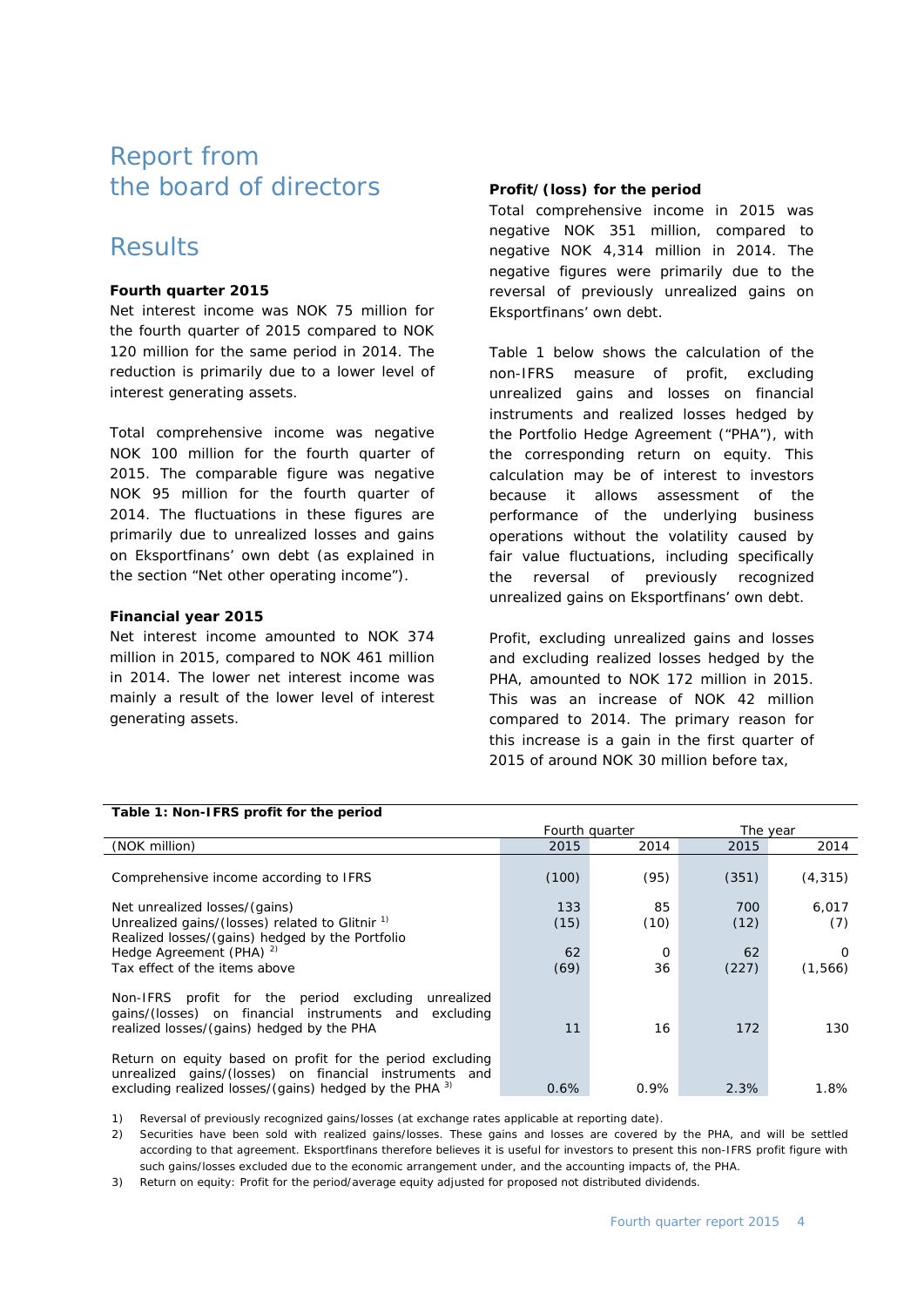### Report from the board of directors

### Results

#### **Fourth quarter 2015**

Net interest income was NOK 75 million for the fourth quarter of 2015 compared to NOK 120 million for the same period in 2014. The reduction is primarily due to a lower level of interest generating assets.

Total comprehensive income was negative NOK 100 million for the fourth quarter of 2015. The comparable figure was negative NOK 95 million for the fourth quarter of 2014. The fluctuations in these figures are primarily due to unrealized losses and gains on Eksportfinans' own debt (as explained in the section "Net other operating income").

#### **Financial year 2015**

Net interest income amounted to NOK 374 million in 2015, compared to NOK 461 million in 2014. The lower net interest income was mainly a result of the lower level of interest generating assets.

#### **Profit/(loss) for the period**

Total comprehensive income in 2015 was negative NOK 351 million, compared to negative NOK 4,314 million in 2014. The negative figures were primarily due to the reversal of previously unrealized gains on Eksportfinans' own debt.

Table 1 below shows the calculation of the non-IFRS measure of profit, excluding unrealized gains and losses on financial instruments and realized losses hedged by the Portfolio Hedge Agreement ("PHA"), with the corresponding return on equity. This calculation may be of interest to investors because it allows assessment of the performance of the underlying business operations without the volatility caused by fair value fluctuations, including specifically the reversal of previously recognized unrealized gains on Eksportfinans' own debt.

Profit, excluding unrealized gains and losses and excluding realized losses hedged by the PHA, amounted to NOK 172 million in 2015. This was an increase of NOK 42 million compared to 2014. The primary reason for this increase is a gain in the first quarter of 2015 of around NOK 30 million before tax,

| rable 1. Non-Trk3 pront for the period                                                                                                                                        |                |                |             |              |
|-------------------------------------------------------------------------------------------------------------------------------------------------------------------------------|----------------|----------------|-------------|--------------|
|                                                                                                                                                                               | Fourth quarter |                | The year    |              |
| (NOK million)                                                                                                                                                                 | 2015           | 2014           | 2015        | 2014         |
| Comprehensive income according to IFRS                                                                                                                                        | (100)          | (95)           | (351)       | (4, 315)     |
| Net unrealized losses/(gains)<br>Unrealized gains/(losses) related to Glitnir <sup>1)</sup><br>Realized losses/(gains) hedged by the Portfolio                                | 133<br>(15)    | 85<br>(10)     | 700<br>(12) | 6,017<br>(7) |
| Hedge Agreement (PHA) <sup>2)</sup><br>Tax effect of the items above                                                                                                          | 62<br>(69)     | $\Omega$<br>36 | 62<br>(227) | ∩<br>(1,566) |
| Non-IFRS profit for the period excluding<br>unrealized<br>gains/(losses) on financial instruments and excluding<br>realized losses/(gains) hedged by the PHA                  | 11             | 16             | 172         | 130          |
| Return on equity based on profit for the period excluding<br>unrealized gains/(losses) on financial instruments and<br>excluding realized losses/(gains) hedged by the PHA 3) | 0.6%           | 0.9%           | 2.3%        | 1.8%         |

**Table 1: Non-IFRS profit for the period**

1) Reversal of previously recognized gains/losses (at exchange rates applicable at reporting date).

2) Securities have been sold with realized gains/losses. These gains and losses are covered by the PHA, and will be settled according to that agreement. Eksportfinans therefore believes it is useful for investors to present this non-IFRS profit figure with such gains/losses excluded due to the economic arrangement under, and the accounting impacts of, the PHA.

3) Return on equity: Profit for the period/average equity adjusted for proposed not distributed dividends.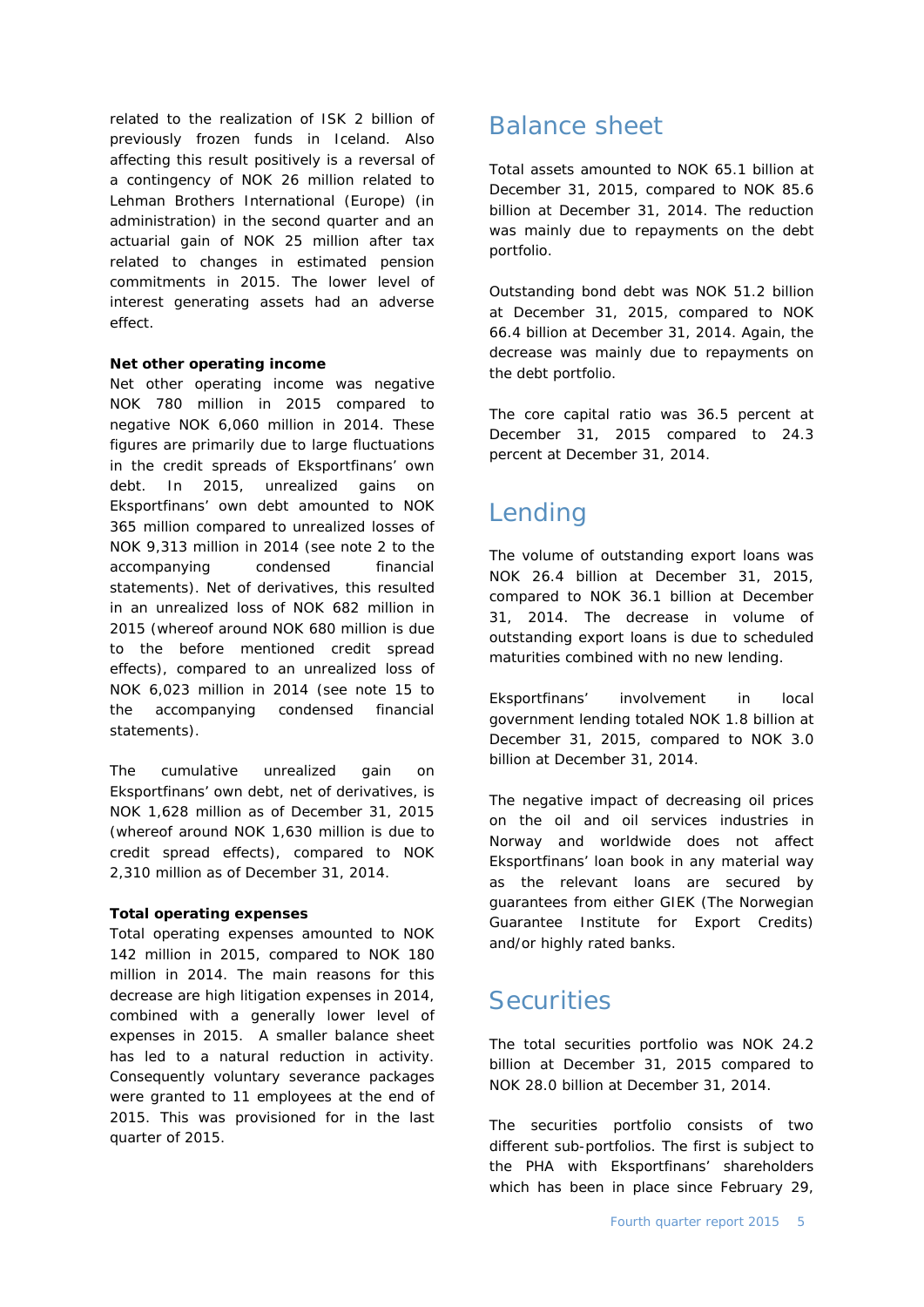related to the realization of ISK 2 billion of previously frozen funds in Iceland. Also affecting this result positively is a reversal of a contingency of NOK 26 million related to Lehman Brothers International (Europe) (in administration) in the second quarter and an actuarial gain of NOK 25 million after tax related to changes in estimated pension commitments in 2015. The lower level of interest generating assets had an adverse effect.

#### **Net other operating income**

Net other operating income was negative NOK 780 million in 2015 compared to negative NOK 6,060 million in 2014. These figures are primarily due to large fluctuations in the credit spreads of Eksportfinans' own debt. In 2015, unrealized gains on Eksportfinans' own debt amounted to NOK 365 million compared to unrealized losses of NOK 9,313 million in 2014 (see note 2 to the accompanying condensed financial statements). Net of derivatives, this resulted in an unrealized loss of NOK 682 million in 2015 (whereof around NOK 680 million is due to the before mentioned credit spread effects), compared to an unrealized loss of NOK 6,023 million in 2014 (see note 15 to the accompanying condensed financial statements).

The cumulative unrealized gain on Eksportfinans' own debt, net of derivatives, is NOK 1,628 million as of December 31, 2015 (whereof around NOK 1,630 million is due to credit spread effects), compared to NOK 2,310 million as of December 31, 2014.

#### **Total operating expenses**

Total operating expenses amounted to NOK 142 million in 2015, compared to NOK 180 million in 2014. The main reasons for this decrease are high litigation expenses in 2014, combined with a generally lower level of expenses in 2015. A smaller balance sheet has led to a natural reduction in activity. Consequently voluntary severance packages were granted to 11 employees at the end of 2015. This was provisioned for in the last quarter of 2015.

### Balance sheet

Total assets amounted to NOK 65.1 billion at December 31, 2015, compared to NOK 85.6 billion at December 31, 2014. The reduction was mainly due to repayments on the debt portfolio.

Outstanding bond debt was NOK 51.2 billion at December 31, 2015, compared to NOK 66.4 billion at December 31, 2014. Again, the decrease was mainly due to repayments on the debt portfolio.

The core capital ratio was 36.5 percent at December 31, 2015 compared to 24.3 percent at December 31, 2014.

### Lending

The volume of outstanding export loans was NOK 26.4 billion at December 31, 2015, compared to NOK 36.1 billion at December 31, 2014. The decrease in volume of outstanding export loans is due to scheduled maturities combined with no new lending.

Eksportfinans' involvement in local government lending totaled NOK 1.8 billion at December 31, 2015, compared to NOK 3.0 billion at December 31, 2014.

The negative impact of decreasing oil prices on the oil and oil services industries in Norway and worldwide does not affect Eksportfinans' loan book in any material way as the relevant loans are secured by guarantees from either GIEK (The Norwegian Guarantee Institute for Export Credits) and/or highly rated banks.

### **Securities**

The total securities portfolio was NOK 24.2 billion at December 31, 2015 compared to NOK 28.0 billion at December 31, 2014.

The securities portfolio consists of two different sub-portfolios. The first is subject to the PHA with Eksportfinans' shareholders which has been in place since February 29,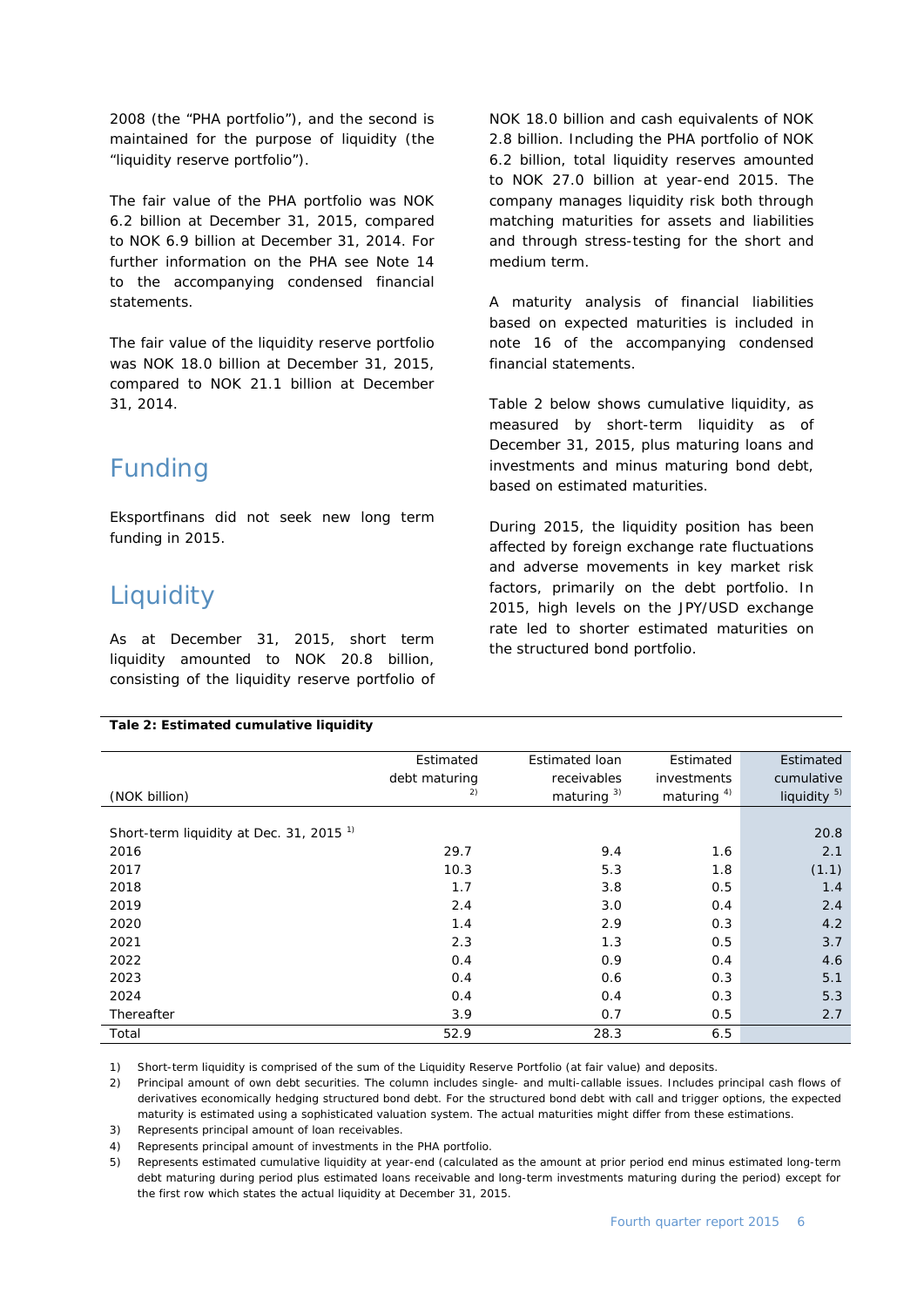2008 (the "PHA portfolio"), and the second is maintained for the purpose of liquidity (the "liquidity reserve portfolio").

The fair value of the PHA portfolio was NOK 6.2 billion at December 31, 2015, compared to NOK 6.9 billion at December 31, 2014. For further information on the PHA see Note 14 to the accompanying condensed financial statements.

The fair value of the liquidity reserve portfolio was NOK 18.0 billion at December 31, 2015, compared to NOK 21.1 billion at December 31, 2014.

### Funding

Eksportfinans did not seek new long term funding in 2015.

### **Liquidity**

As at December 31, 2015, short term liquidity amounted to NOK 20.8 billion, consisting of the liquidity reserve portfolio of

**Tale 2: Estimated cumulative liquidity**

NOK 18.0 billion and cash equivalents of NOK 2.8 billion. Including the PHA portfolio of NOK 6.2 billion, total liquidity reserves amounted to NOK 27.0 billion at year-end 2015. The company manages liquidity risk both through matching maturities for assets and liabilities and through stress-testing for the short and medium term.

A maturity analysis of financial liabilities based on expected maturities is included in note 16 of the accompanying condensed financial statements.

Table 2 below shows cumulative liquidity, as measured by short-term liquidity as of December 31, 2015, plus maturing loans and investments and minus maturing bond debt, based on estimated maturities.

During 2015, the liquidity position has been affected by foreign exchange rate fluctuations and adverse movements in key market risk factors, primarily on the debt portfolio. In 2015, high levels on the JPY/USD exchange rate led to shorter estimated maturities on the structured bond portfolio.

|                                                     | Estimated     | Estimated loan | Estimated      | Estimated               |
|-----------------------------------------------------|---------------|----------------|----------------|-------------------------|
|                                                     | debt maturing | receivables    | investments    | cumulative              |
| (NOK billion)                                       | 2)            | maturing $3)$  | maturing $4$ ) | liquidity <sup>5)</sup> |
|                                                     |               |                |                |                         |
| Short-term liquidity at Dec. 31, 2015 <sup>1)</sup> |               |                |                | 20.8                    |
| 2016                                                | 29.7          | 9.4            | 1.6            | 2.1                     |
| 2017                                                | 10.3          | 5.3            | 1.8            | (1.1)                   |
| 2018                                                | 1.7           | 3.8            | 0.5            | 1.4                     |
| 2019                                                | 2.4           | 3.0            | 0.4            | 2.4                     |
| 2020                                                | 1.4           | 2.9            | 0.3            | 4.2                     |
| 2021                                                | 2.3           | 1.3            | 0.5            | 3.7                     |
| 2022                                                | 0.4           | 0.9            | 0.4            | 4.6                     |
| 2023                                                | 0.4           | 0.6            | 0.3            | 5.1                     |
| 2024                                                | 0.4           | 0.4            | 0.3            | 5.3                     |
| Thereafter                                          | 3.9           | 0.7            | 0.5            | 2.7                     |
| Total                                               | 52.9          | 28.3           | 6.5            |                         |

1) Short-term liquidity is comprised of the sum of the Liquidity Reserve Portfolio (at fair value) and deposits.

2) Principal amount of own debt securities. The column includes single- and multi-callable issues. Includes principal cash flows of derivatives economically hedging structured bond debt. For the structured bond debt with call and trigger options, the expected maturity is estimated using a sophisticated valuation system. The actual maturities might differ from these estimations.

3) Represents principal amount of loan receivables.

4) Represents principal amount of investments in the PHA portfolio.

5) Represents estimated cumulative liquidity at year-end (calculated as the amount at prior period end minus estimated long-term debt maturing during period plus estimated loans receivable and long-term investments maturing during the period) except for the first row which states the actual liquidity at December 31, 2015.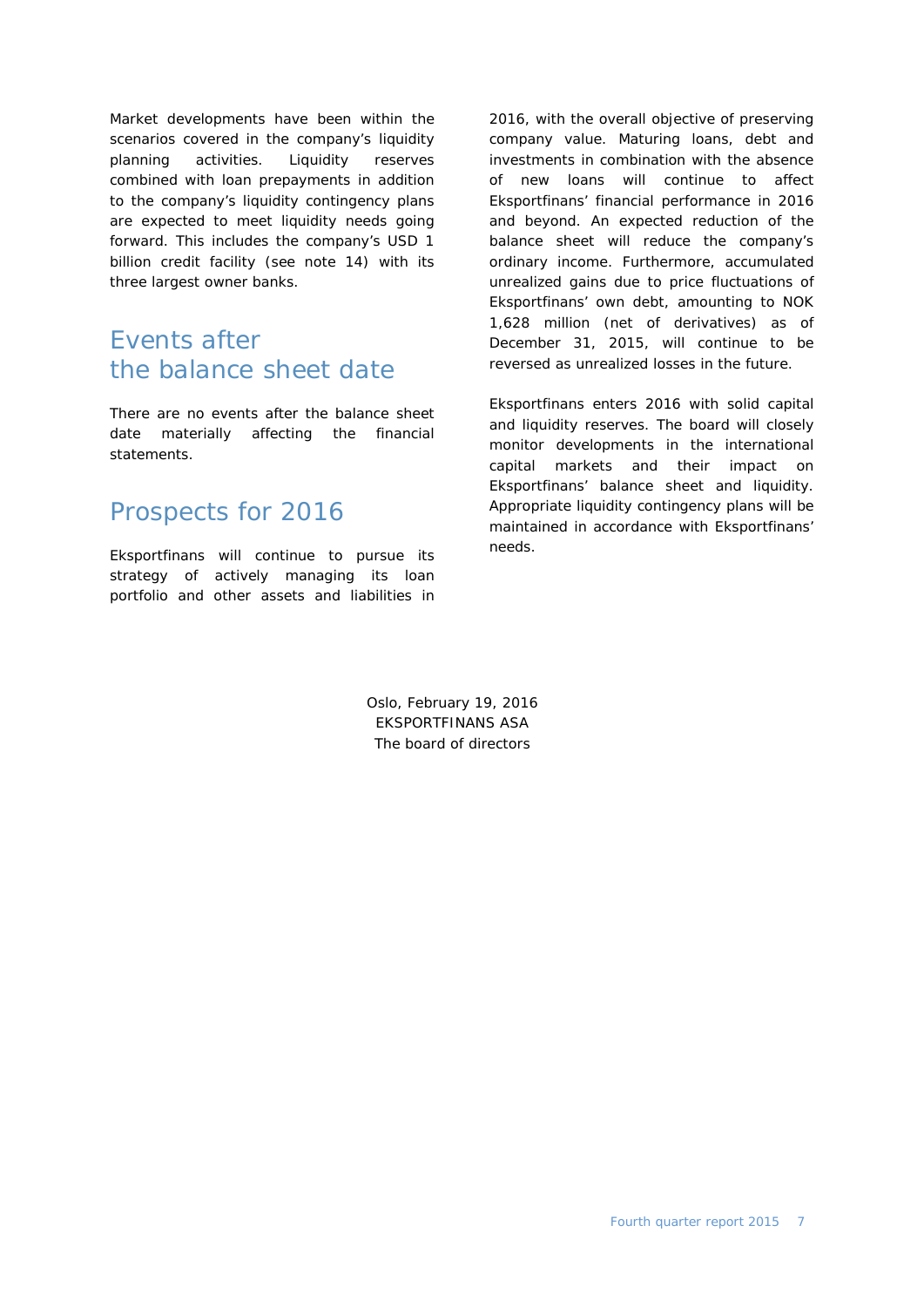Market developments have been within the scenarios covered in the company's liquidity planning activities. Liquidity reserves combined with loan prepayments in addition to the company's liquidity contingency plans are expected to meet liquidity needs going forward. This includes the company's USD 1 billion credit facility (see note 14) with its three largest owner banks.

### Events after the balance sheet date

There are no events after the balance sheet date materially affecting the financial statements.

### Prospects for 2016

Eksportfinans will continue to pursue its strategy of actively managing its loan portfolio and other assets and liabilities in

2016, with the overall objective of preserving company value. Maturing loans, debt and investments in combination with the absence of new loans will continue to affect Eksportfinans' financial performance in 2016 and beyond. An expected reduction of the balance sheet will reduce the company's ordinary income. Furthermore, accumulated unrealized gains due to price fluctuations of Eksportfinans' own debt, amounting to NOK 1,628 million (net of derivatives) as of December 31, 2015, will continue to be reversed as unrealized losses in the future.

Eksportfinans enters 2016 with solid capital and liquidity reserves. The board will closely monitor developments in the international capital markets and their impact on Eksportfinans' balance sheet and liquidity. Appropriate liquidity contingency plans will be maintained in accordance with Eksportfinans' needs.

Oslo, February 19, 2016 EKSPORTFINANS ASA The board of directors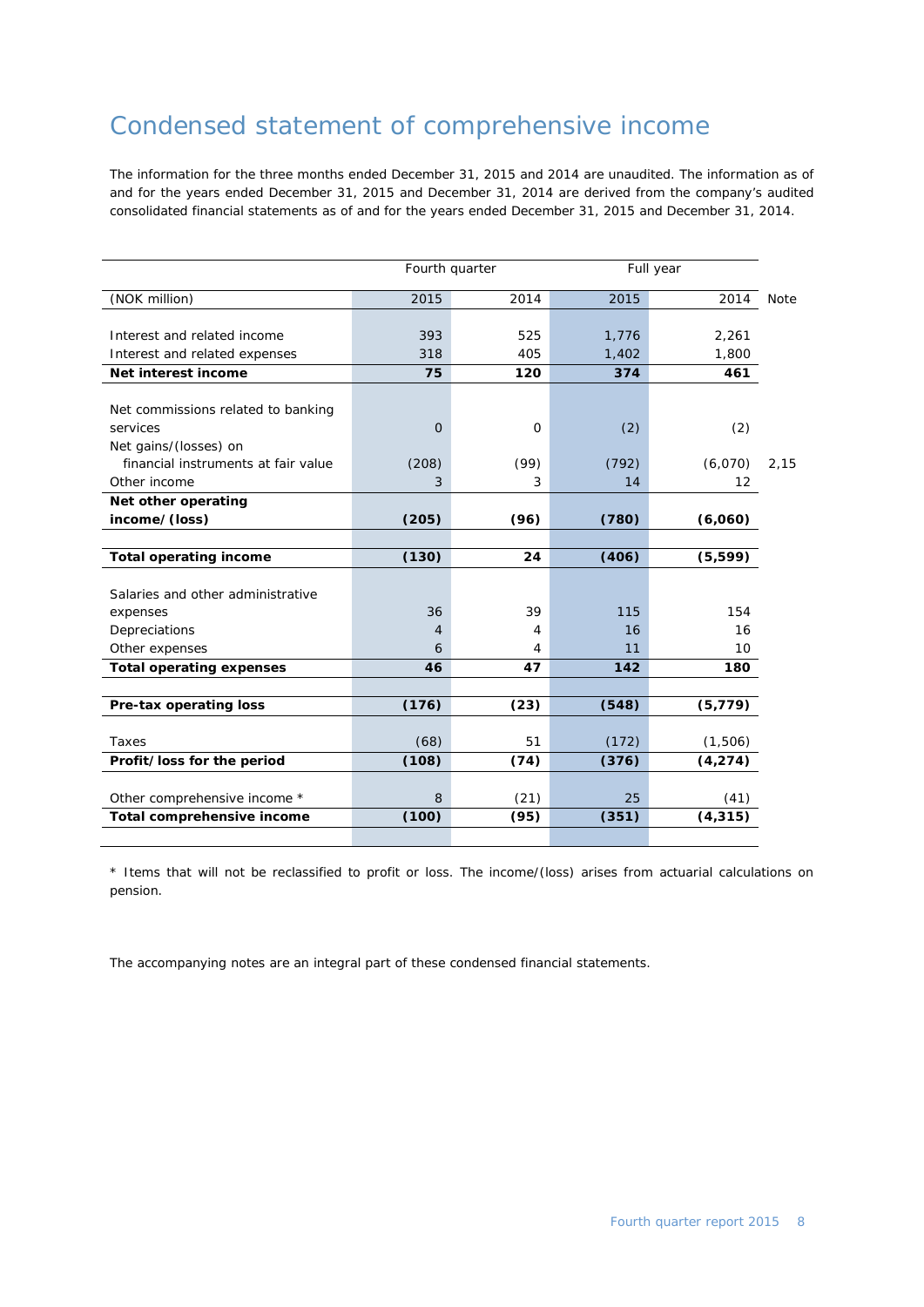### Condensed statement of comprehensive income

The information for the three months ended December 31, 2015 and 2014 are unaudited. The information as of and for the years ended December 31, 2015 and December 31, 2014 are derived from the company's audited consolidated financial statements as of and for the years ended December 31, 2015 and December 31, 2014.

|                                     |       | Fourth quarter |       | Full year |             |
|-------------------------------------|-------|----------------|-------|-----------|-------------|
| (NOK million)                       | 2015  | 2014           | 2015  | 2014      | <b>Note</b> |
|                                     |       |                |       |           |             |
| Interest and related income         | 393   | 525            | 1,776 | 2,261     |             |
| Interest and related expenses       | 318   | 405            | 1,402 | 1,800     |             |
| Net interest income                 | 75    | 120            | 374   | 461       |             |
|                                     |       |                |       |           |             |
| Net commissions related to banking  |       |                |       |           |             |
| services                            | 0     | 0              | (2)   | (2)       |             |
| Net gains/(losses) on               |       |                |       |           |             |
| financial instruments at fair value | (208) | (99)           | (792) | (6,070)   | 2,15        |
| Other income                        | 3     | 3              | 14    | 12        |             |
| Net other operating                 |       |                |       |           |             |
| income/(loss)                       | (205) | (96)           | (780) | (6,060)   |             |
|                                     |       |                |       |           |             |
| <b>Total operating income</b>       | (130) | 24             | (406) | (5, 599)  |             |
|                                     |       |                |       |           |             |
| Salaries and other administrative   |       |                |       |           |             |
| expenses                            | 36    | 39             | 115   | 154       |             |
| Depreciations                       | 4     | 4              | 16    | 16        |             |
| Other expenses                      | 6     | 4              | 11    | 10        |             |
| <b>Total operating expenses</b>     | 46    | 47             | 142   | 180       |             |
|                                     |       |                |       |           |             |
| Pre-tax operating loss              | (176) | (23)           | (548) | (5, 779)  |             |
| Taxes                               | (68)  | 51             | (172) | (1,506)   |             |
| Profit/loss for the period          | (108) | (74)           | (376) | (4, 274)  |             |
|                                     |       |                |       |           |             |
| Other comprehensive income *        | 8     | (21)           | 25    | (41)      |             |
| Total comprehensive income          | (100) | (95)           | (351) | (4, 315)  |             |
|                                     |       |                |       |           |             |

\* Items that will not be reclassified to profit or loss. The income/(loss) arises from actuarial calculations on pension.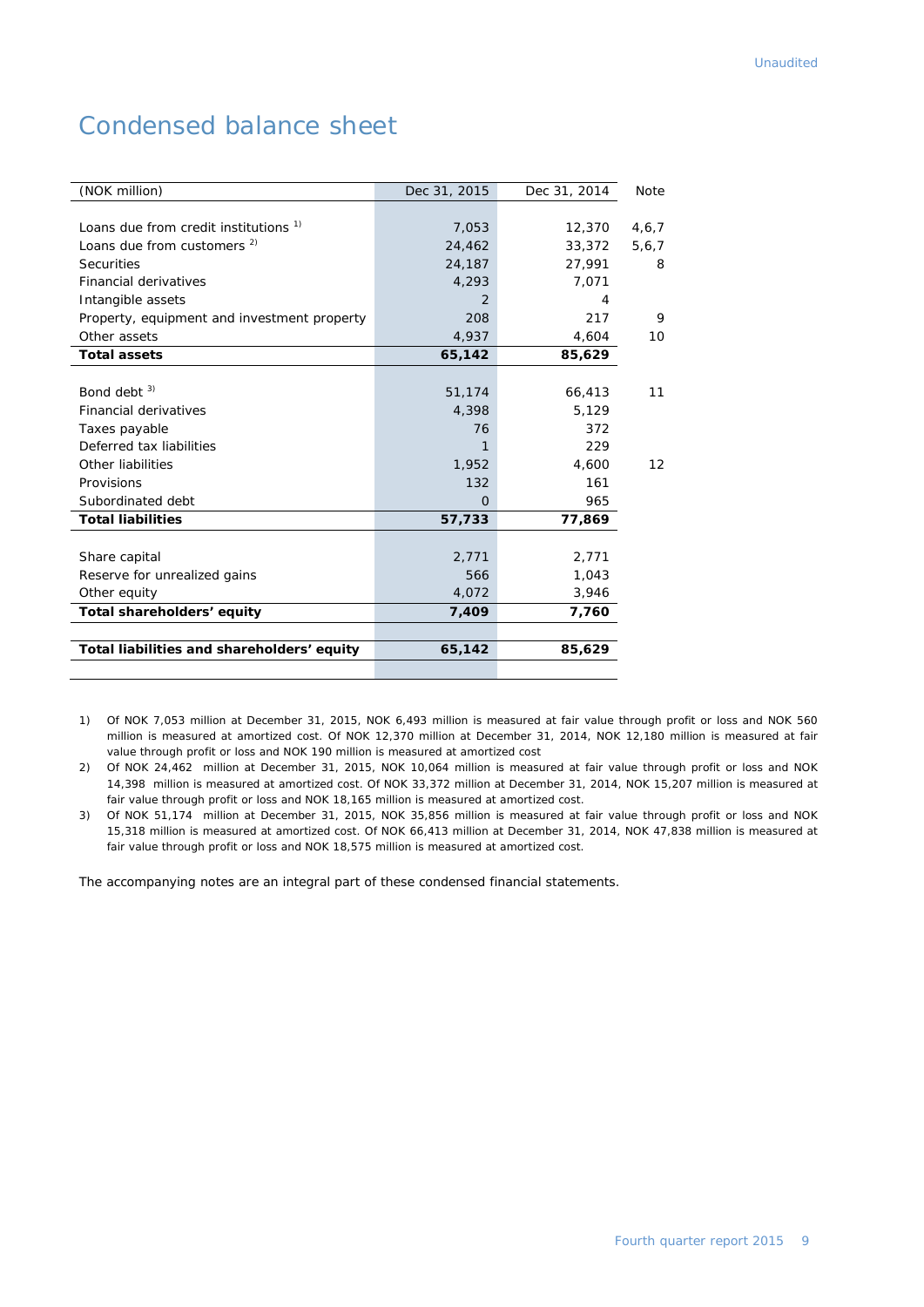### Condensed balance sheet

| (NOK million)                               | Dec 31, 2015  | Dec 31, 2014 | Note  |
|---------------------------------------------|---------------|--------------|-------|
|                                             |               |              |       |
| Loans due from credit institutions 1)       | 7,053         | 12,370       | 4,6,7 |
| Loans due from customers <sup>2)</sup>      | 24,462        | 33,372       | 5,6,7 |
| <b>Securities</b>                           | 24,187        | 27,991       | 8     |
| <b>Financial derivatives</b>                | 4,293         | 7,071        |       |
| Intangible assets                           | $\mathcal{P}$ | 4            |       |
| Property, equipment and investment property | 208           | 217          | 9     |
| Other assets                                | 4,937         | 4,604        | 10    |
| <b>Total assets</b>                         | 65,142        | 85,629       |       |
|                                             |               |              |       |
| Bond debt $3)$                              | 51,174        | 66,413       | 11    |
| <b>Financial derivatives</b>                | 4,398         | 5,129        |       |
| Taxes payable                               | 76            | 372          |       |
| Deferred tax liabilities                    | 1             | 229          |       |
| Other liabilities                           | 1,952         | 4,600        | 12    |
| Provisions                                  | 132           | 161          |       |
| Subordinated debt                           | $\Omega$      | 965          |       |
| <b>Total liabilities</b>                    | 57,733        | 77,869       |       |
|                                             |               |              |       |
| Share capital                               | 2,771         | 2,771        |       |
| Reserve for unrealized gains                | 566           | 1,043        |       |
| Other equity                                | 4,072         | 3,946        |       |
| Total shareholders' equity                  | 7,409         | 7,760        |       |
|                                             |               |              |       |
| Total liabilities and shareholders' equity  | 65,142        | 85,629       |       |
|                                             |               |              |       |

1) Of NOK 7,053 million at December 31, 2015, NOK 6,493 million is measured at fair value through profit or loss and NOK 560 million is measured at amortized cost. Of NOK 12,370 million at December 31, 2014, NOK 12,180 million is measured at fair value through profit or loss and NOK 190 million is measured at amortized cost

2) Of NOK 24,462 million at December 31, 2015, NOK 10,064 million is measured at fair value through profit or loss and NOK 14,398 million is measured at amortized cost. Of NOK 33,372 million at December 31, 2014, NOK 15,207 million is measured at fair value through profit or loss and NOK 18,165 million is measured at amortized cost.

3) Of NOK 51,174 million at December 31, 2015, NOK 35,856 million is measured at fair value through profit or loss and NOK 15,318 million is measured at amortized cost. Of NOK 66,413 million at December 31, 2014, NOK 47,838 million is measured at fair value through profit or loss and NOK 18,575 million is measured at amortized cost.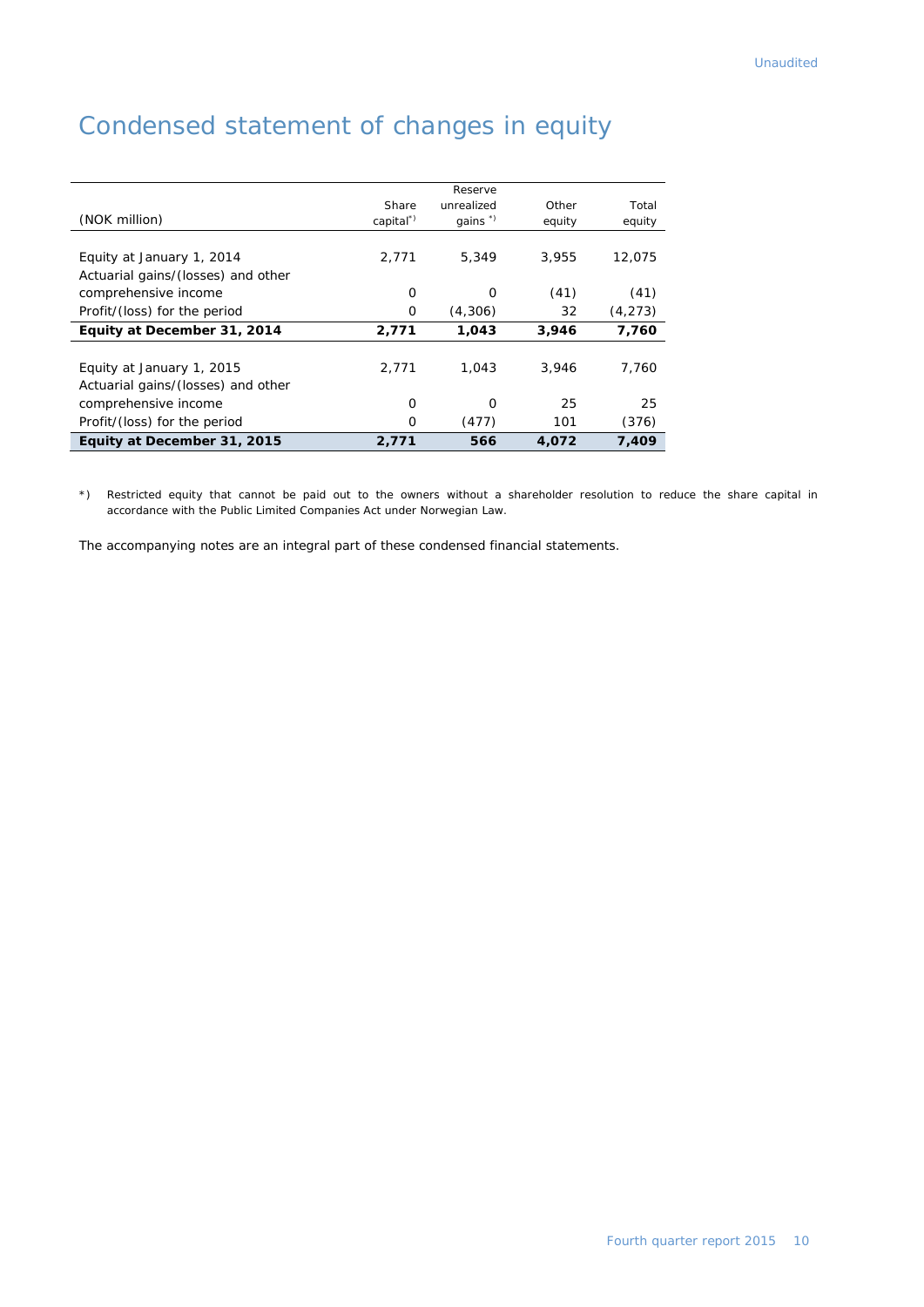|                                    |                      | Reserve             |        |          |
|------------------------------------|----------------------|---------------------|--------|----------|
|                                    | Share                | unrealized          | Other  | Total    |
| (NOK million)                      | capital <sup>*</sup> | qains $\sqrt[8]{ }$ | equity | equity   |
|                                    |                      |                     |        |          |
| Equity at January 1, 2014          | 2,771                | 5,349               | 3,955  | 12,075   |
| Actuarial gains/(losses) and other |                      |                     |        |          |
| comprehensive income               | 0                    | 0                   | (41)   | (41)     |
| Profit/(loss) for the period       | 0                    | (4,306)             | 32     | (4, 273) |
| Equity at December 31, 2014        | 2,771                | 1,043               | 3,946  | 7,760    |
|                                    |                      |                     |        |          |
| Equity at January 1, 2015          | 2.771                | 1.043               | 3,946  | 7,760    |
| Actuarial gains/(losses) and other |                      |                     |        |          |
| comprehensive income               | O                    | O                   | 25     | 25       |
| Profit/(loss) for the period       | 0                    | (477)               | 101    | (376)    |
| Equity at December 31, 2015        | 2,771                | 566                 | 4,072  | 7,409    |

### Condensed statement of changes in equity

\*) Restricted equity that cannot be paid out to the owners without a shareholder resolution to reduce the share capital in accordance with the Public Limited Companies Act under Norwegian Law.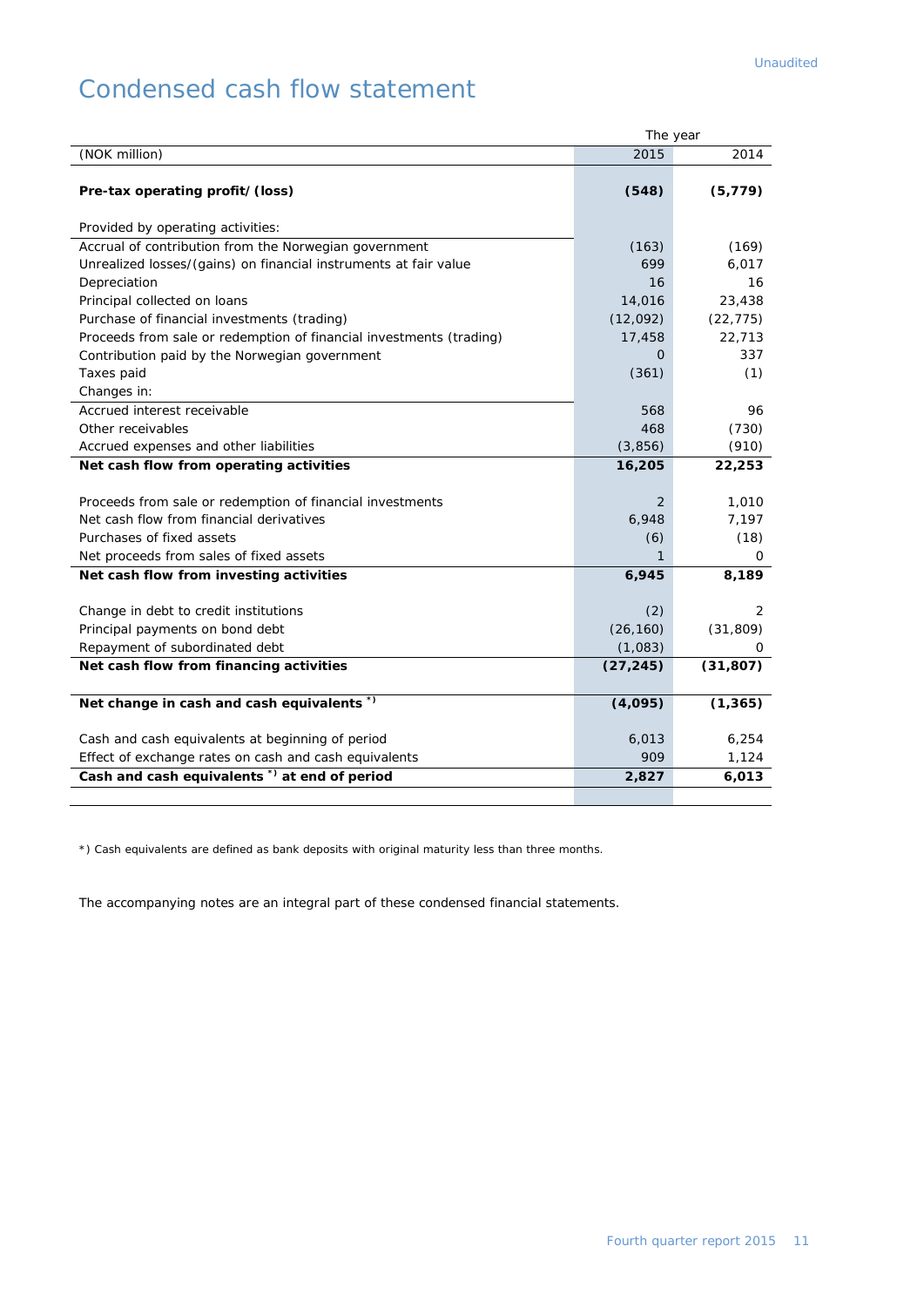### Condensed cash flow statement

|                                                                     | The year  |           |
|---------------------------------------------------------------------|-----------|-----------|
| (NOK million)                                                       | 2015      | 2014      |
|                                                                     |           |           |
| Pre-tax operating profit/(loss)                                     | (548)     | (5, 779)  |
| Provided by operating activities:                                   |           |           |
| Accrual of contribution from the Norwegian government               | (163)     | (169)     |
| Unrealized losses/(gains) on financial instruments at fair value    | 699       | 6,017     |
| Depreciation                                                        | 16        | 16        |
| Principal collected on loans                                        | 14,016    | 23,438    |
| Purchase of financial investments (trading)                         | (12,092)  | (22, 775) |
| Proceeds from sale or redemption of financial investments (trading) | 17,458    | 22,713    |
| Contribution paid by the Norwegian government                       | Ο         | 337       |
| Taxes paid                                                          | (361)     | (1)       |
| Changes in:                                                         |           |           |
| Accrued interest receivable                                         | 568       | 96        |
| Other receivables                                                   | 468       | (730)     |
| Accrued expenses and other liabilities                              | (3,856)   | (910)     |
| Net cash flow from operating activities                             | 16,205    | 22,253    |
|                                                                     |           |           |
| Proceeds from sale or redemption of financial investments           | 2         | 1,010     |
| Net cash flow from financial derivatives                            | 6,948     | 7,197     |
| Purchases of fixed assets                                           | (6)       | (18)      |
| Net proceeds from sales of fixed assets                             | 1         | 0         |
| Net cash flow from investing activities                             | 6,945     | 8,189     |
|                                                                     |           |           |
| Change in debt to credit institutions                               | (2)       | 2         |
| Principal payments on bond debt                                     | (26, 160) | (31, 809) |
| Repayment of subordinated debt                                      | (1,083)   | 0         |
| Net cash flow from financing activities                             | (27, 245) | (31, 807) |
|                                                                     |           |           |
| Net change in cash and cash equivalents *)                          | (4,095)   | (1, 365)  |
| Cash and cash equivalents at beginning of period                    | 6,013     | 6,254     |
| Effect of exchange rates on cash and cash equivalents               | 909       | 1,124     |
| Cash and cash equivalents <sup>*</sup> ) at end of period           | 2,827     | 6,013     |
|                                                                     |           |           |

\*) Cash equivalents are defined as bank deposits with original maturity less than three months.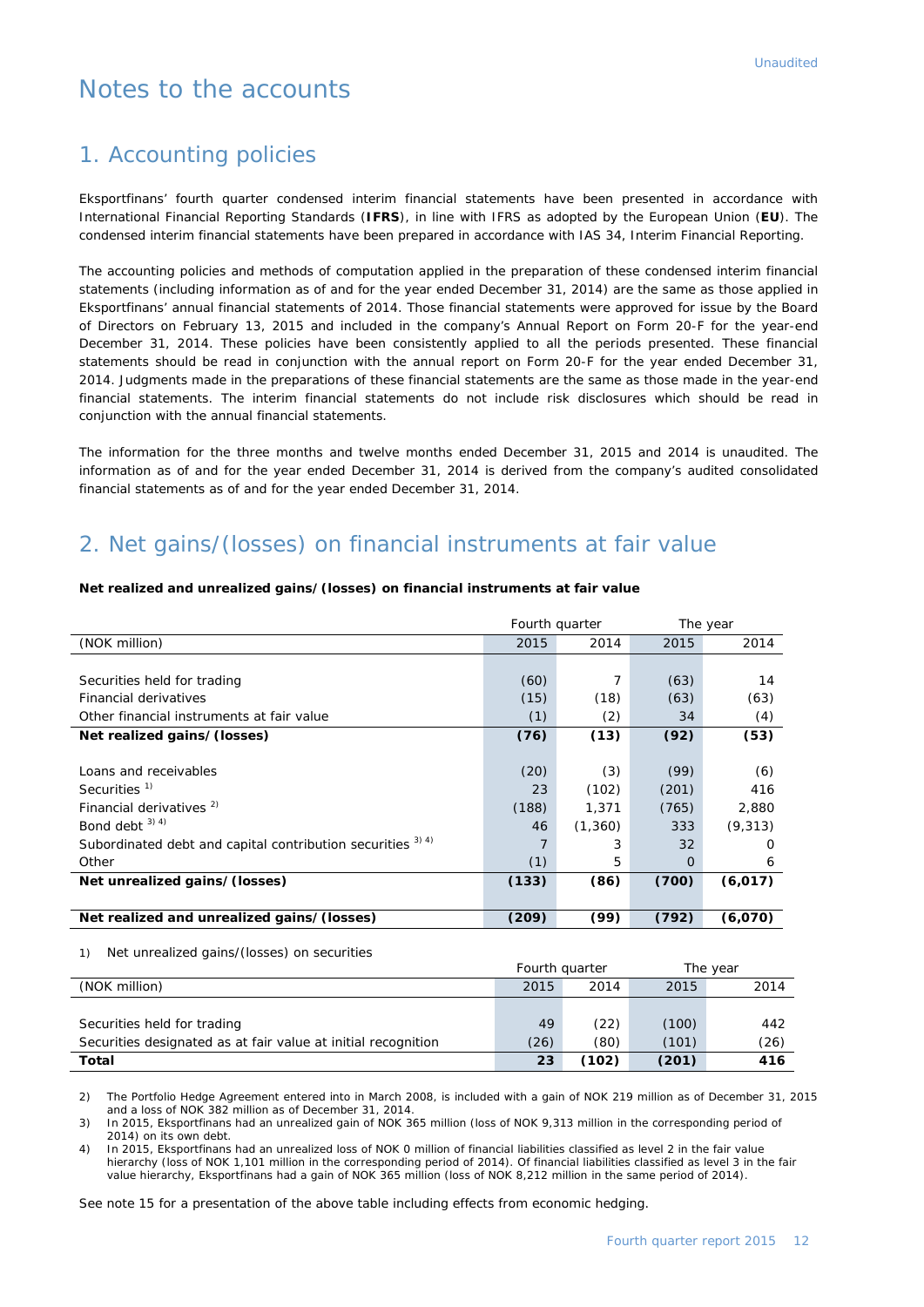### Notes to the accounts

### 1. Accounting policies

Eksportfinans' fourth quarter condensed interim financial statements have been presented in accordance with International Financial Reporting Standards (**IFRS**), in line with IFRS as adopted by the European Union (**EU**). The condensed interim financial statements have been prepared in accordance with IAS 34, Interim Financial Reporting.

The accounting policies and methods of computation applied in the preparation of these condensed interim financial statements (including information as of and for the year ended December 31, 2014) are the same as those applied in Eksportfinans' annual financial statements of 2014. Those financial statements were approved for issue by the Board of Directors on February 13, 2015 and included in the company's Annual Report on Form 20-F for the year-end December 31, 2014. These policies have been consistently applied to all the periods presented. These financial statements should be read in conjunction with the annual report on Form 20-F for the year ended December 31, 2014. Judgments made in the preparations of these financial statements are the same as those made in the year-end financial statements. The interim financial statements do not include risk disclosures which should be read in conjunction with the annual financial statements.

The information for the three months and twelve months ended December 31, 2015 and 2014 is unaudited. The information as of and for the year ended December 31, 2014 is derived from the company's audited consolidated financial statements as of and for the year ended December 31, 2014.

### 2. Net gains/(losses) on financial instruments at fair value

#### Fourth quarter The year (NOK million) 2015 2014 2015 2014 Securities held for trading the state of the securities held for trading the state of the state of the state of the state of the state of the state of the state of the state of the state of the state of the state of the st Financial derivatives (15) (18) (63) (63) (63) Other financial instruments at fair value (1) (2) 34 (4) **Net realized gains/(losses) (76) (13) (92) (53)** Loans and receivables (20) (3) (99) (6) Securities  $^{1)}$  23 (102) (201) 416 Financial derivatives <sup>2)</sup> (188) 1,371 (765) 2,880 Bond debt <sup>3) 4)</sup>  $\begin{pmatrix} 3 & 3 & 4 \end{pmatrix}$  (9,313) Subordinated debt and capital contribution securities  $3^{3/4}$   $3^{2}$   $3^{3}$   $3^{2}$   $3^{2}$  0 Other (1) 5 0 6 **Net unrealized gains/(losses) (133) (86) (700) (6,017) Net realized and unrealized gains/(losses) (209) (99) (792) (6,070)**

#### **Net realized and unrealized gains/(losses) on financial instruments at fair value**

#### 1) Net unrealized gains/(losses) on securities

|                                                               | Fourth quarter |       |       | The year |
|---------------------------------------------------------------|----------------|-------|-------|----------|
| (NOK million)                                                 | 2015           | 2014  | 2015  | 2014     |
|                                                               |                |       |       |          |
| Securities held for trading                                   | 49             | (22)  | (100) | 442      |
| Securities designated as at fair value at initial recognition | (26)           | (80)  | (101) | (26)     |
| <b>Total</b>                                                  | 23             | (102) | (201) | 416      |

2) The Portfolio Hedge Agreement entered into in March 2008, is included with a gain of NOK 219 million as of December 31, 2015 and a loss of NOK 382 million as of December 31, 2014.

3) In 2015, Eksportfinans had an unrealized gain of NOK 365 million (loss of NOK 9,313 million in the corresponding period of 2014) on its own debt.

4) In 2015, Eksportfinans had an unrealized loss of NOK 0 million of financial liabilities classified as level 2 in the fair value hierarchy (loss of NOK 1,101 million in the corresponding period of 2014). Of financial liabilities classified as level 3 in the fair value hierarchy, Eksportfinans had a gain of NOK 365 million (loss of NOK 8,212 million in the same period of 2014).

See note 15 for a presentation of the above table including effects from economic hedging.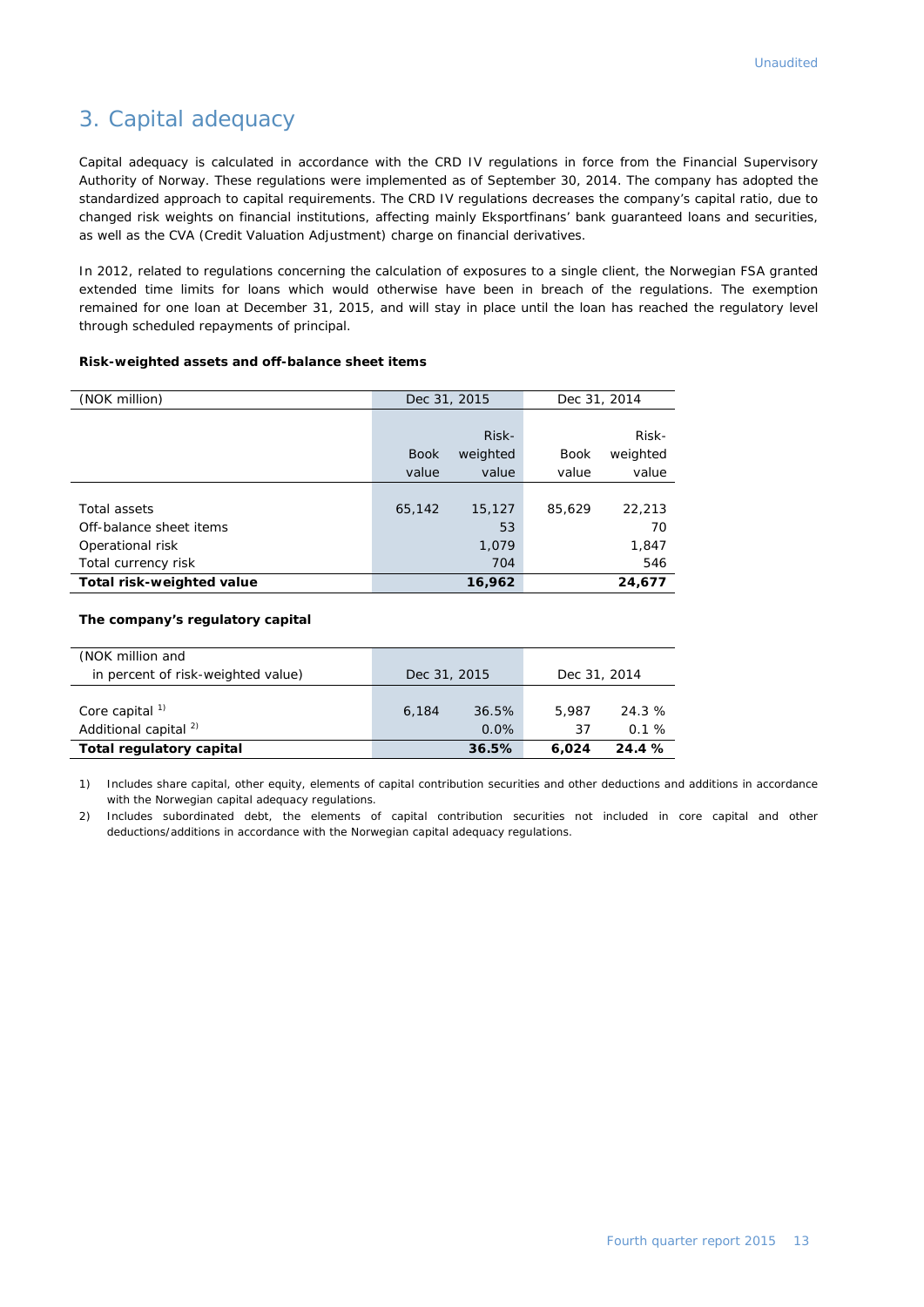#### 3. Capital adequacy

Capital adequacy is calculated in accordance with the CRD IV regulations in force from the Financial Supervisory Authority of Norway. These regulations were implemented as of September 30, 2014. The company has adopted the standardized approach to capital requirements. The CRD IV regulations decreases the company's capital ratio, due to changed risk weights on financial institutions, affecting mainly Eksportfinans' bank guaranteed loans and securities, as well as the CVA (Credit Valuation Adjustment) charge on financial derivatives.

In 2012, related to regulations concerning the calculation of exposures to a single client, the Norwegian FSA granted extended time limits for loans which would otherwise have been in breach of the regulations. The exemption remained for one loan at December 31, 2015, and will stay in place until the loan has reached the regulatory level through scheduled repayments of principal.

#### **Risk-weighted assets and off-balance sheet items**

| (NOK million)             | Dec 31, 2015 |          |             |          | Dec 31, 2014 |  |  |
|---------------------------|--------------|----------|-------------|----------|--------------|--|--|
|                           |              |          |             |          |              |  |  |
|                           |              | Risk-    |             | Risk-    |              |  |  |
|                           | <b>Book</b>  | weighted | <b>Book</b> | weighted |              |  |  |
|                           | value        | value    | value       | value    |              |  |  |
|                           |              |          |             |          |              |  |  |
| Total assets              | 65,142       | 15,127   | 85,629      | 22,213   |              |  |  |
| Off-balance sheet items   |              | 53       |             | 70       |              |  |  |
| Operational risk          |              | 1,079    |             | 1,847    |              |  |  |
| Total currency risk       |              | 704      |             | 546      |              |  |  |
| Total risk-weighted value |              | 16,962   |             | 24,677   |              |  |  |

#### **The company's regulatory capital**

| (NOK million and                   |              |       |              |       |
|------------------------------------|--------------|-------|--------------|-------|
| in percent of risk-weighted value) | Dec 31, 2015 |       | Dec 31, 2014 |       |
|                                    |              |       |              |       |
| Core capital $1$                   | 6.184        | 36.5% | 5.987        | 24.3% |
| Additional capital <sup>2)</sup>   |              | 0.0%  | 37           | 0.1%  |
| Total regulatory capital           |              | 36.5% | 6.024        | 24.4% |

1) Includes share capital, other equity, elements of capital contribution securities and other deductions and additions in accordance with the Norwegian capital adequacy regulations.

2) Includes subordinated debt, the elements of capital contribution securities not included in core capital and other deductions/additions in accordance with the Norwegian capital adequacy regulations.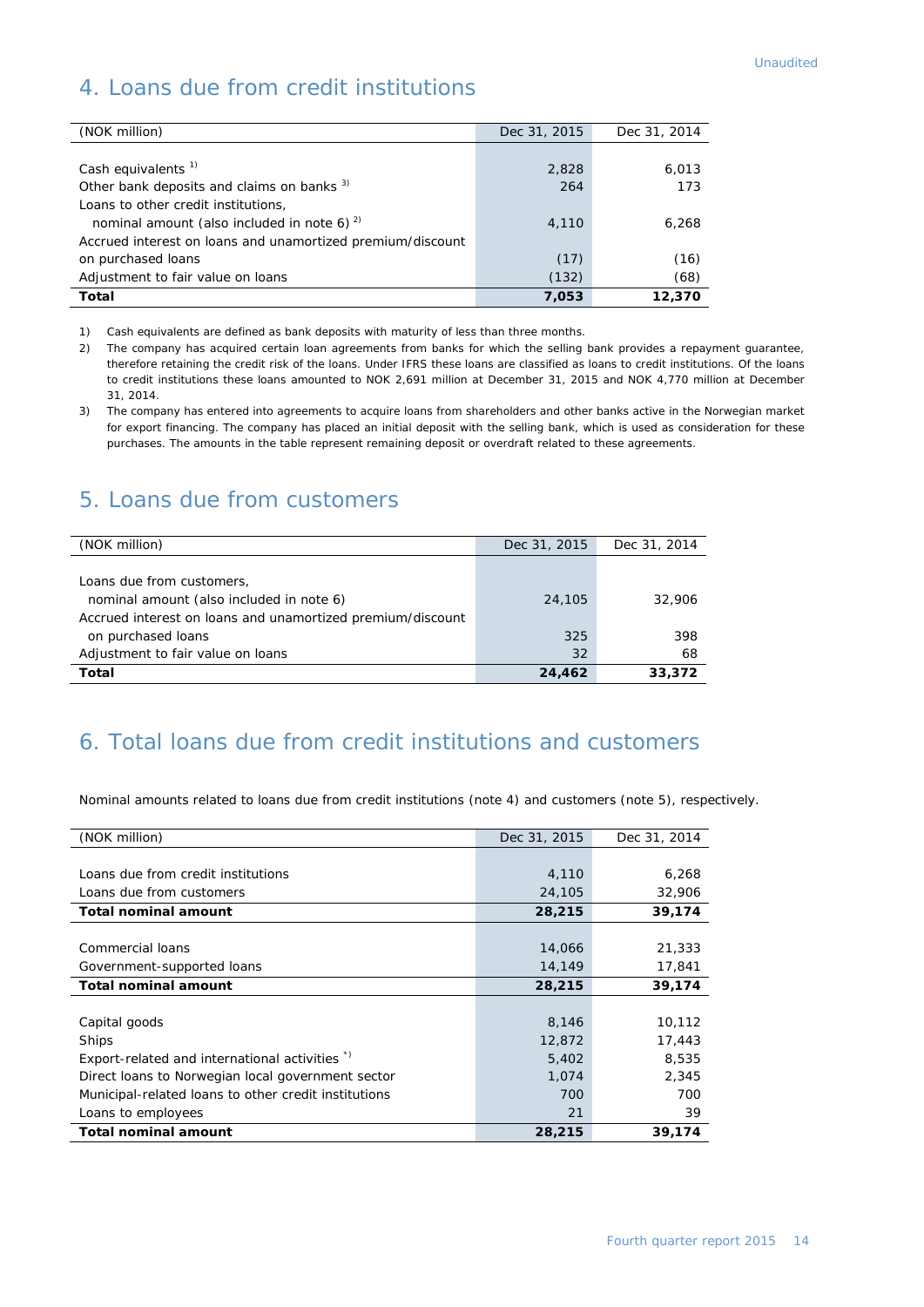### 4. Loans due from credit institutions

| (NOK million)                                              | Dec 31, 2015 | Dec 31, 2014 |
|------------------------------------------------------------|--------------|--------------|
|                                                            |              |              |
| Cash equivalents <sup>1)</sup>                             | 2,828        | 6,013        |
| Other bank deposits and claims on banks <sup>3)</sup>      | 264          | 173          |
| Loans to other credit institutions,                        |              |              |
| nominal amount (also included in note 6) $^{2}$            | 4,110        | 6,268        |
| Accrued interest on loans and unamortized premium/discount |              |              |
| on purchased loans                                         | (17)         | (16)         |
| Adjustment to fair value on loans                          | (132)        | (68)         |
| Total                                                      | 7,053        | 12,370       |

1) Cash equivalents are defined as bank deposits with maturity of less than three months.

- 2) The company has acquired certain loan agreements from banks for which the selling bank provides a repayment guarantee, therefore retaining the credit risk of the loans. Under IFRS these loans are classified as loans to credit institutions. Of the loans to credit institutions these loans amounted to NOK 2,691 million at December 31, 2015 and NOK 4,770 million at December 31, 2014.
- 3) The company has entered into agreements to acquire loans from shareholders and other banks active in the Norwegian market for export financing. The company has placed an initial deposit with the selling bank, which is used as consideration for these purchases. The amounts in the table represent remaining deposit or overdraft related to these agreements.

#### 5. Loans due from customers

| (NOK million)                                              | Dec 31, 2015 | Dec 31, 2014 |
|------------------------------------------------------------|--------------|--------------|
|                                                            |              |              |
| Loans due from customers,                                  |              |              |
| nominal amount (also included in note 6)                   | 24,105       | 32,906       |
| Accrued interest on loans and unamortized premium/discount |              |              |
| on purchased loans                                         | 325          | 398          |
| Adjustment to fair value on loans                          | 32           | 68           |
| Total                                                      | 24,462       | 33,372       |

### 6. Total loans due from credit institutions and customers

Nominal amounts related to loans due from credit institutions (note 4) and customers (note 5), respectively.

| (NOK million)                                        | Dec 31, 2015 | Dec 31, 2014 |
|------------------------------------------------------|--------------|--------------|
|                                                      |              |              |
| Loans due from credit institutions                   | 4,110        | 6,268        |
| Loans due from customers                             | 24,105       | 32,906       |
| <b>Total nominal amount</b>                          | 28,215       | 39,174       |
|                                                      |              |              |
| Commercial loans                                     | 14,066       | 21,333       |
| Government-supported loans                           | 14,149       | 17,841       |
| <b>Total nominal amount</b>                          | 28,215       | 39,174       |
|                                                      |              |              |
| Capital goods                                        | 8,146        | 10,112       |
| Ships                                                | 12,872       | 17,443       |
| Export-related and international activities *)       | 5,402        | 8,535        |
| Direct loans to Norwegian local government sector    | 1,074        | 2,345        |
| Municipal-related loans to other credit institutions | 700          | 700          |
| Loans to employees                                   | 21           | 39           |
| <b>Total nominal amount</b>                          | 28,215       | 39,174       |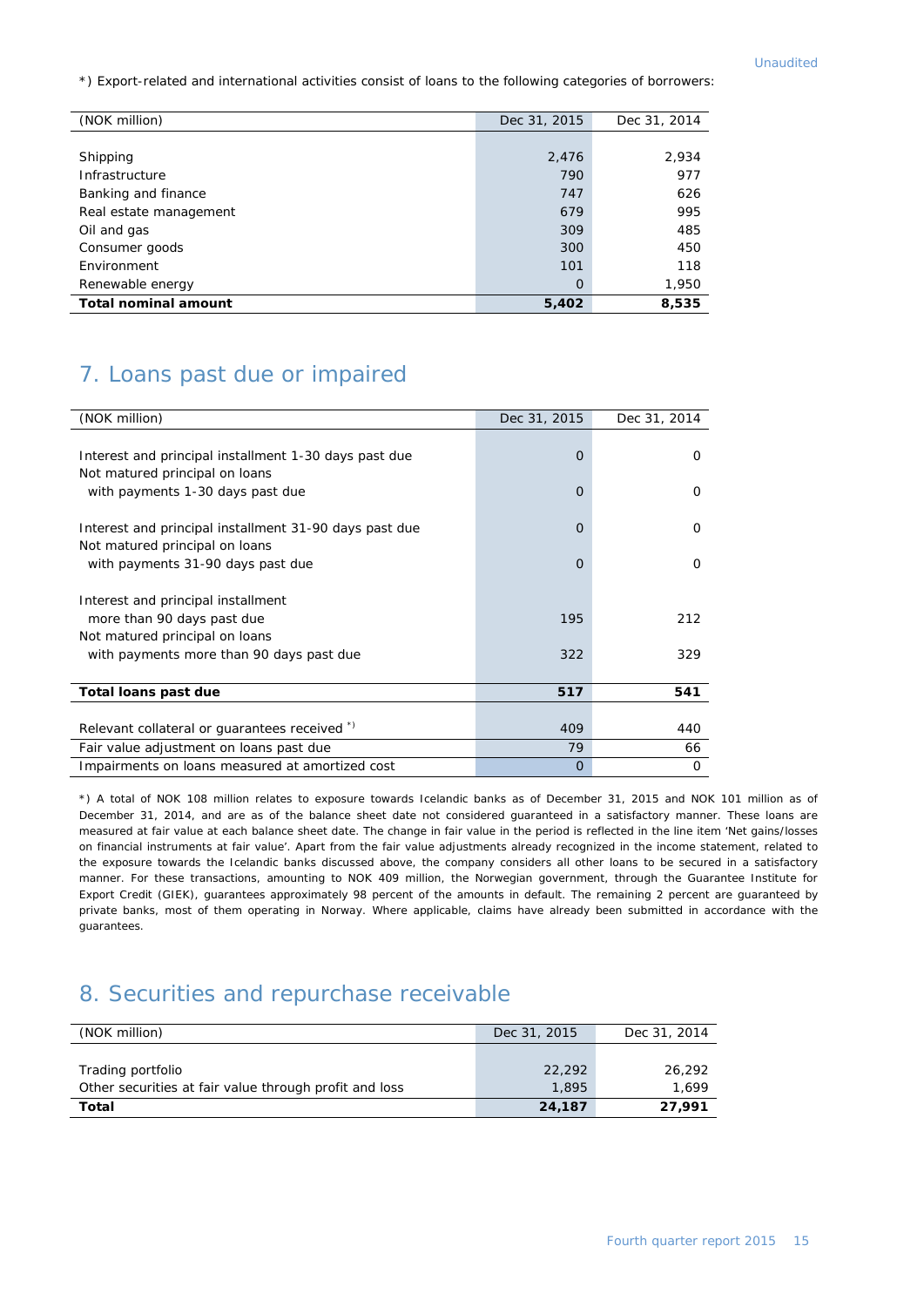\*) Export-related and international activities consist of loans to the following categories of borrowers:

| (NOK million)               | Dec 31, 2015 | Dec 31, 2014 |
|-----------------------------|--------------|--------------|
|                             |              |              |
| Shipping                    | 2,476        | 2,934        |
| Infrastructure              | 790          | 977          |
| Banking and finance         | 747          | 626          |
| Real estate management      | 679          | 995          |
| Oil and gas                 | 309          | 485          |
| Consumer goods              | 300          | 450          |
| Environment                 | 101          | 118          |
| Renewable energy            | $\Omega$     | 1,950        |
| <b>Total nominal amount</b> | 5,402        | 8,535        |

### 7. Loans past due or impaired

| (NOK million)                                          | Dec 31, 2015 | Dec 31, 2014 |
|--------------------------------------------------------|--------------|--------------|
|                                                        |              |              |
| Interest and principal installment 1-30 days past due  | $\Omega$     | 0            |
| Not matured principal on loans                         |              |              |
| with payments 1-30 days past due                       | $\Omega$     | O            |
| Interest and principal installment 31-90 days past due | $\Omega$     | 0            |
| Not matured principal on loans                         |              |              |
| with payments 31-90 days past due                      | $\Omega$     | 0            |
|                                                        |              |              |
| Interest and principal installment                     |              |              |
| more than 90 days past due                             | 195          | 212          |
| Not matured principal on loans                         |              |              |
| with payments more than 90 days past due               | 322          | 329          |
|                                                        |              |              |
| Total loans past due                                   | 517          | 541          |
|                                                        |              |              |
| Relevant collateral or guarantees received *)          | 409          | 440          |
| Fair value adjustment on loans past due                | 79           | 66           |
| Impairments on loans measured at amortized cost        | $\Omega$     | 0            |

\*) A total of NOK 108 million relates to exposure towards Icelandic banks as of December 31, 2015 and NOK 101 million as of December 31, 2014, and are as of the balance sheet date not considered guaranteed in a satisfactory manner. These loans are measured at fair value at each balance sheet date. The change in fair value in the period is reflected in the line item 'Net gains/losses on financial instruments at fair value'. Apart from the fair value adjustments already recognized in the income statement, related to the exposure towards the Icelandic banks discussed above, the company considers all other loans to be secured in a satisfactory manner. For these transactions, amounting to NOK 409 million, the Norwegian government, through the Guarantee Institute for Export Credit (GIEK), guarantees approximately 98 percent of the amounts in default. The remaining 2 percent are guaranteed by private banks, most of them operating in Norway. Where applicable, claims have already been submitted in accordance with the guarantees.

#### 8. Securities and repurchase receivable

| (NOK million)                                          | Dec 31, 2015 | Dec 31, 2014 |
|--------------------------------------------------------|--------------|--------------|
|                                                        |              |              |
| Trading portfolio                                      | 22,292       | 26,292       |
| Other securities at fair value through profit and loss | 1.895        | 1.699        |
| Total                                                  | 24,187       | 27.991       |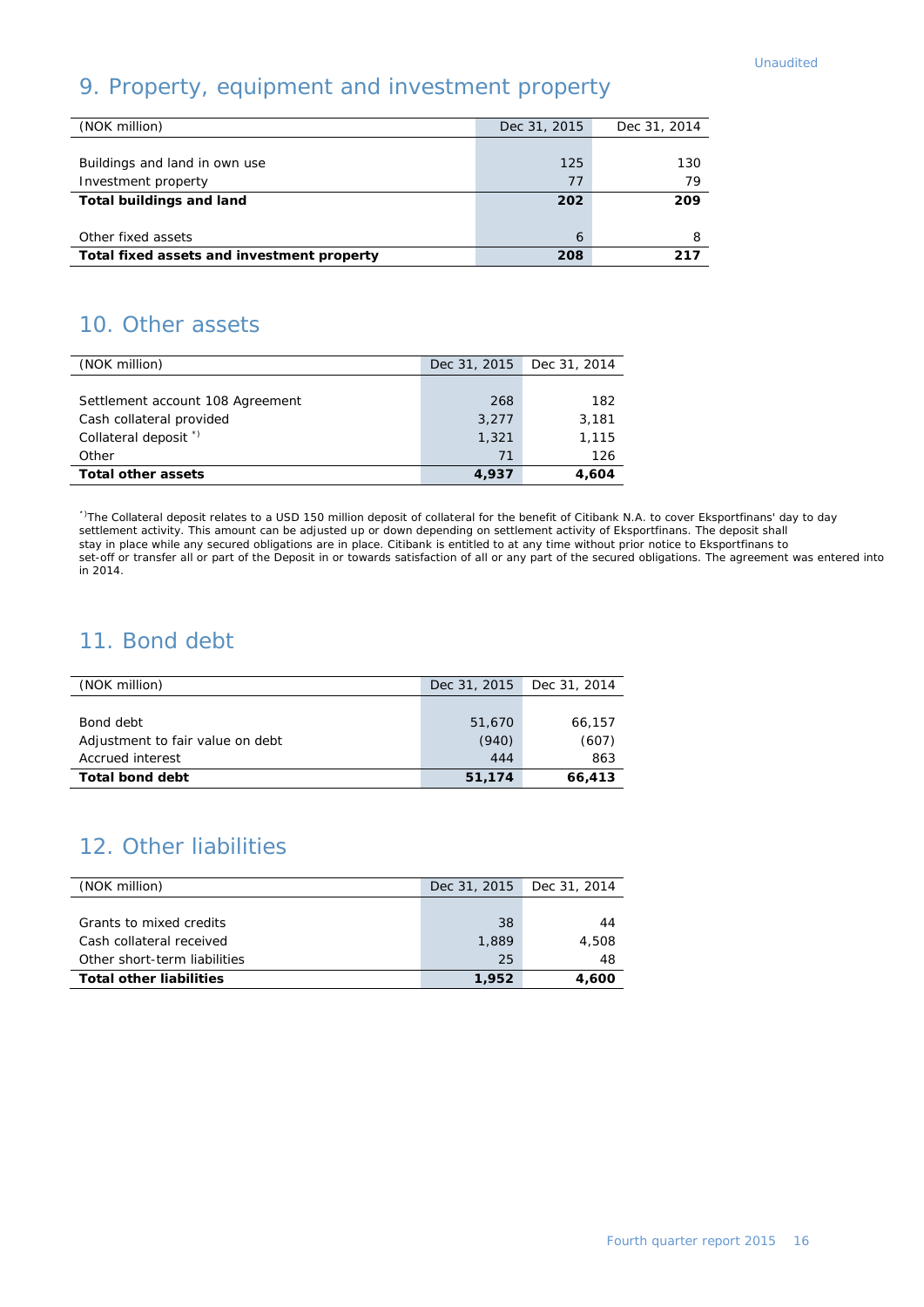### 9. Property, equipment and investment property

| (NOK million)                              | Dec 31, 2015 | Dec 31, 2014 |
|--------------------------------------------|--------------|--------------|
|                                            |              |              |
| Buildings and land in own use              | 125          | 130          |
| Investment property                        | 77           | 79           |
| <b>Total buildings and land</b>            | 202          | 209          |
|                                            |              |              |
| Other fixed assets                         | 6            | 8            |
| Total fixed assets and investment property | 208          | 217          |

### 10. Other assets

| (NOK million)                    | Dec 31, 2015 | Dec 31, 2014 |
|----------------------------------|--------------|--------------|
|                                  |              |              |
| Settlement account 108 Agreement | 268          | 182          |
| Cash collateral provided         | 3.277        | 3,181        |
| Collateral deposit <sup>*</sup>  | 1,321        | 1.115        |
| Other                            | 71           | 126          |
| <b>Total other assets</b>        | 4.937        | 4.604        |

\*)The Collateral deposit relates to a USD 150 million deposit of collateral for the benefit of Citibank N.A. to cover Eksportfinans' day to day settlement activity. This amount can be adjusted up or down depending on settlement activity of Eksportfinans. The deposit shall stay in place while any secured obligations are in place. Citibank is entitled to at any time without prior notice to Eksportfinans to set-off or transfer all or part of the Deposit in or towards satisfaction of all or any part of the secured obligations. The agreement was entered into in 2014.

### 11. Bond debt

| (NOK million)                    |        | Dec 31, 2015 Dec 31, 2014 |
|----------------------------------|--------|---------------------------|
|                                  |        |                           |
| Bond debt                        | 51,670 | 66.157                    |
| Adjustment to fair value on debt | (940)  | (607)                     |
| Accrued interest                 | 444    | 863                       |
| <b>Total bond debt</b>           | 51,174 | 66,413                    |

### 12. Other liabilities

| (NOK million)                  | Dec 31, 2015 | Dec 31, 2014 |
|--------------------------------|--------------|--------------|
|                                |              |              |
| Grants to mixed credits        | 38           | 44           |
| Cash collateral received       | 1,889        | 4,508        |
| Other short-term liabilities   | 25           | 48           |
| <b>Total other liabilities</b> | 1,952        | 4,600        |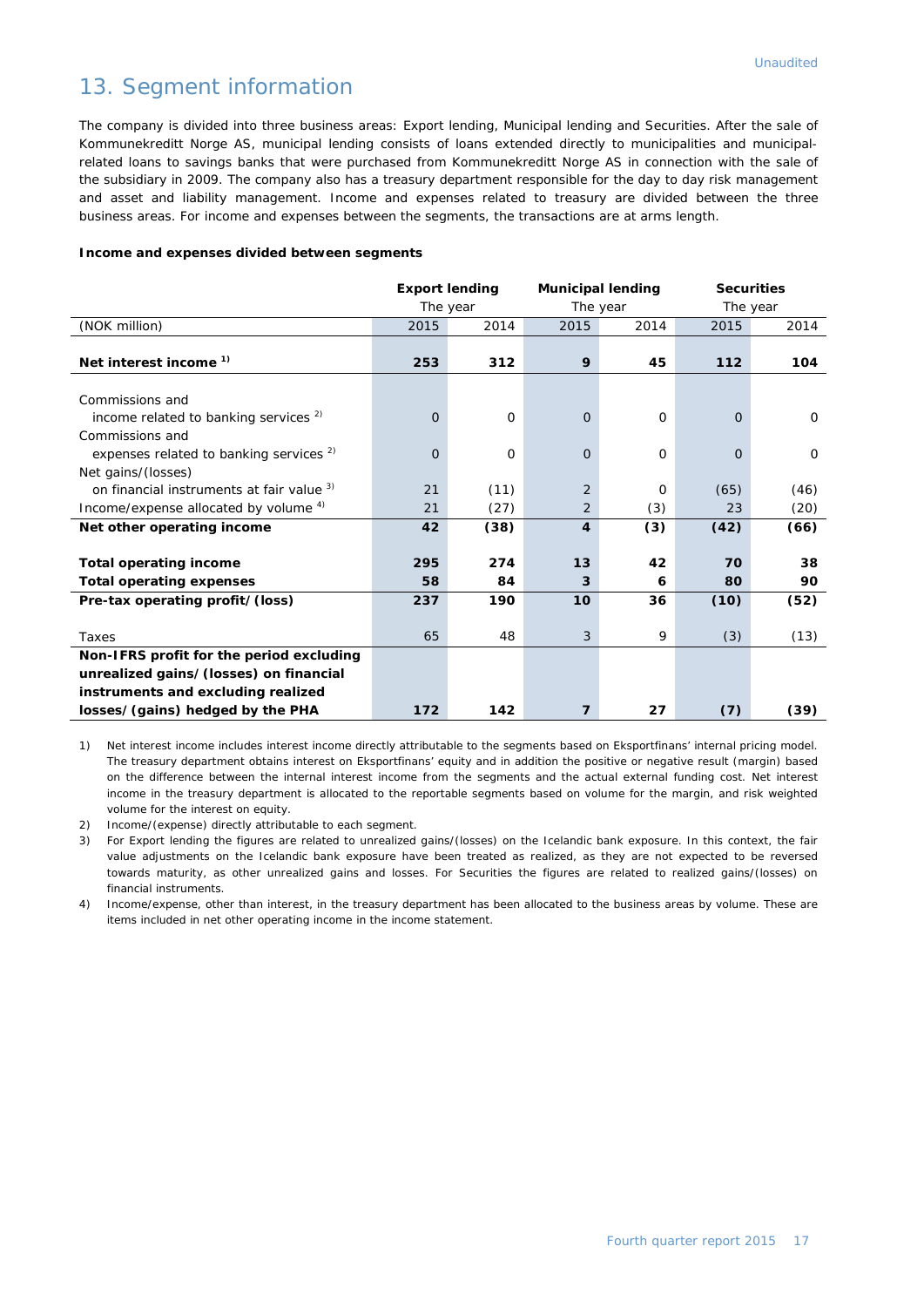### 13. Segment information

The company is divided into three business areas: Export lending, Municipal lending and Securities. After the sale of Kommunekreditt Norge AS, municipal lending consists of loans extended directly to municipalities and municipalrelated loans to savings banks that were purchased from Kommunekreditt Norge AS in connection with the sale of the subsidiary in 2009. The company also has a treasury department responsible for the day to day risk management and asset and liability management. Income and expenses related to treasury are divided between the three business areas. For income and expenses between the segments, the transactions are at arms length.

#### **Income and expenses divided between segments**

|                                                    | <b>Export lending</b> |                      | <b>Municipal lending</b> |          | <b>Securities</b> |          |
|----------------------------------------------------|-----------------------|----------------------|--------------------------|----------|-------------------|----------|
|                                                    |                       | The year<br>The year |                          | The year |                   |          |
| (NOK million)                                      | 2015                  | 2014                 | 2015                     | 2014     | 2015              | 2014     |
|                                                    |                       |                      |                          |          |                   |          |
| Net interest income <sup>1)</sup>                  | 253                   | 312                  | 9                        | 45       | 112               | 104      |
|                                                    |                       |                      |                          |          |                   |          |
| Commissions and                                    |                       |                      |                          |          |                   |          |
| income related to banking services $2$             | $\overline{O}$        | $\Omega$             | $\mathbf{O}$             | O        | $\mathbf 0$       | $\Omega$ |
| Commissions and                                    |                       |                      |                          |          |                   |          |
| expenses related to banking services <sup>2)</sup> | $\Omega$              | $\Omega$             | $\Omega$                 | $\Omega$ | $\Omega$          | $\Omega$ |
| Net gains/(losses)                                 |                       |                      |                          |          |                   |          |
| on financial instruments at fair value 3)          | 21                    | (11)                 | $\overline{2}$           | $\Omega$ | (65)              | (46)     |
| Income/expense allocated by volume 4)              | 21                    | (27)                 | 2                        | (3)      | 23                | (20)     |
| Net other operating income                         | 42                    | (38)                 | $\overline{\mathbf{4}}$  | (3)      | (42)              | (66)     |
|                                                    |                       |                      |                          |          |                   |          |
| <b>Total operating income</b>                      | 295                   | 274                  | 13                       | 42       | 70                | 38       |
| <b>Total operating expenses</b>                    | 58                    | 84                   | 3                        | 6        | 80                | 90       |
| Pre-tax operating profit/(loss)                    | 237                   | 190                  | 10                       | 36       | (10)              | (52)     |
|                                                    |                       |                      |                          |          |                   |          |
| Taxes                                              | 65                    | 48                   | 3                        | 9        | (3)               | (13)     |
| Non-IFRS profit for the period excluding           |                       |                      |                          |          |                   |          |
| unrealized gains/(losses) on financial             |                       |                      |                          |          |                   |          |
| instruments and excluding realized                 |                       |                      |                          |          |                   |          |
| losses/(gains) hedged by the PHA                   | 172                   | 142                  | 7                        | 27       | (7)               | (39)     |

1) Net interest income includes interest income directly attributable to the segments based on Eksportfinans' internal pricing model. The treasury department obtains interest on Eksportfinans' equity and in addition the positive or negative result (margin) based on the difference between the internal interest income from the segments and the actual external funding cost. Net interest income in the treasury department is allocated to the reportable segments based on volume for the margin, and risk weighted volume for the interest on equity.

2) Income/(expense) directly attributable to each segment.

3) For Export lending the figures are related to unrealized gains/(losses) on the Icelandic bank exposure. In this context, the fair value adjustments on the Icelandic bank exposure have been treated as realized, as they are not expected to be reversed towards maturity, as other unrealized gains and losses. For Securities the figures are related to realized gains/(losses) on financial instruments.

4) Income/expense, other than interest, in the treasury department has been allocated to the business areas by volume. These are items included in net other operating income in the income statement.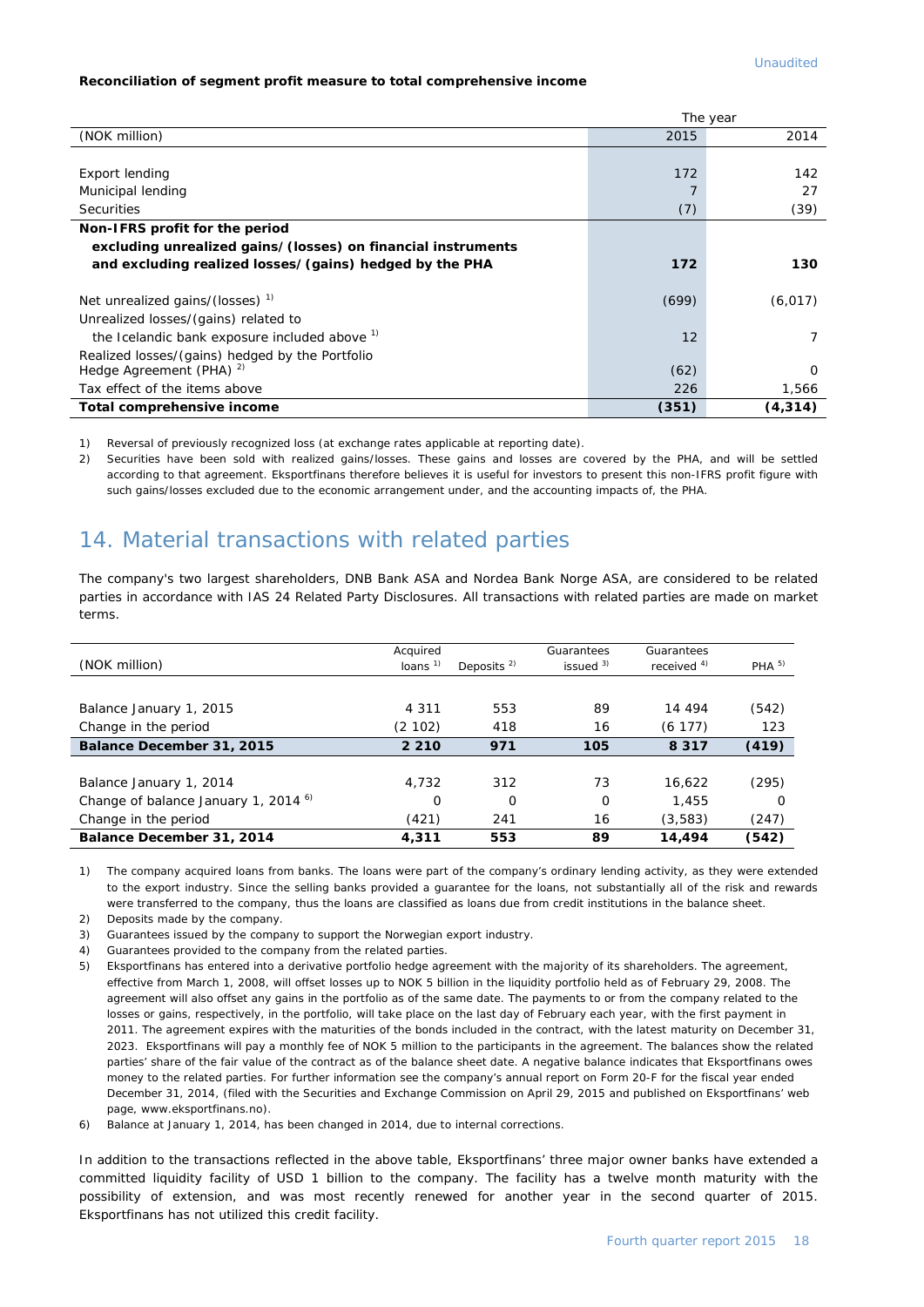#### **Reconciliation of segment profit measure to total comprehensive income**

|                                                              |       | The year |
|--------------------------------------------------------------|-------|----------|
| (NOK million)                                                | 2015  | 2014     |
|                                                              |       |          |
| Export lending                                               | 172   | 142      |
| Municipal lending                                            |       | 27       |
| <b>Securities</b>                                            | (7)   | (39)     |
| Non-IFRS profit for the period                               |       |          |
| excluding unrealized gains/(losses) on financial instruments |       |          |
| and excluding realized losses/(gains) hedged by the PHA      | 172   | 130      |
|                                                              |       |          |
| Net unrealized gains/(losses) <sup>1)</sup>                  | (699) | (6, 017) |
| Unrealized losses/(gains) related to                         |       |          |
| the Icelandic bank exposure included above 1)                | 12    |          |
| Realized losses/(gains) hedged by the Portfolio              |       |          |
| Hedge Agreement (PHA) <sup>2)</sup>                          | (62)  | $\Omega$ |
| Tax effect of the items above                                | 226   | 1,566    |
| Total comprehensive income                                   | (351) | (4, 314) |

1) Reversal of previously recognized loss (at exchange rates applicable at reporting date).

2) Securities have been sold with realized gains/losses. These gains and losses are covered by the PHA, and will be settled according to that agreement. Eksportfinans therefore believes it is useful for investors to present this non-IFRS profit figure with such gains/losses excluded due to the economic arrangement under, and the accounting impacts of, the PHA.

### 14. Material transactions with related parties

The company's two largest shareholders, DNB Bank ASA and Nordea Bank Norge ASA, are considered to be related parties in accordance with IAS 24 Related Party Disclosures. All transactions with related parties are made on market terms.

|                                                 | Acquired  |              | Guarantees  | Guarantees    |                  |
|-------------------------------------------------|-----------|--------------|-------------|---------------|------------------|
| (NOK million)                                   | loans $1$ | Deposits $2$ | issued $3)$ | received $4)$ | PHA <sup>5</sup> |
|                                                 |           |              |             |               |                  |
|                                                 |           |              |             |               |                  |
| Balance January 1, 2015                         | 4 3 1 1   | 553          | 89          | 14 494        | (542)            |
| Change in the period                            | (2 102)   | 418          | 16          | (6 177)       | 123              |
| Balance December 31, 2015                       | 2 2 1 0   | 971          | 105         | 8 3 1 7       | (419)            |
|                                                 |           |              |             |               |                  |
| Balance January 1, 2014                         | 4.732     | 312          | 73          | 16.622        | (295)            |
| Change of balance January 1, 2014 <sup>6)</sup> | 0         | $\Omega$     | $\Omega$    | 1,455         | O                |
| Change in the period                            | (421)     | 241          | 16          | (3,583)       | (247)            |
| Balance December 31, 2014                       | 4.311     | 553          | 89          | 14,494        | (542)            |

1) The company acquired loans from banks. The loans were part of the company's ordinary lending activity, as they were extended to the export industry. Since the selling banks provided a guarantee for the loans, not substantially all of the risk and rewards were transferred to the company, thus the loans are classified as loans due from credit institutions in the balance sheet.

2) Deposits made by the company.

- 3) Guarantees issued by the company to support the Norwegian export industry.
- 4) Guarantees provided to the company from the related parties.
- 5) Eksportfinans has entered into a derivative portfolio hedge agreement with the majority of its shareholders. The agreement, effective from March 1, 2008, will offset losses up to NOK 5 billion in the liquidity portfolio held as of February 29, 2008. The agreement will also offset any gains in the portfolio as of the same date. The payments to or from the company related to the losses or gains, respectively, in the portfolio, will take place on the last day of February each year, with the first payment in 2011. The agreement expires with the maturities of the bonds included in the contract, with the latest maturity on December 31, 2023. Eksportfinans will pay a monthly fee of NOK 5 million to the participants in the agreement. The balances show the related parties' share of the fair value of the contract as of the balance sheet date. A negative balance indicates that Eksportfinans owes money to the related parties. For further information see the company's annual report on Form 20-F for the fiscal year ended December 31, 2014, (filed with the Securities and Exchange Commission on April 29, 2015 and published on Eksportfinans' web page, www.eksportfinans.no).

6) Balance at January 1, 2014, has been changed in 2014, due to internal corrections.

In addition to the transactions reflected in the above table, Eksportfinans' three major owner banks have extended a committed liquidity facility of USD 1 billion to the company. The facility has a twelve month maturity with the possibility of extension, and was most recently renewed for another year in the second quarter of 2015. Eksportfinans has not utilized this credit facility.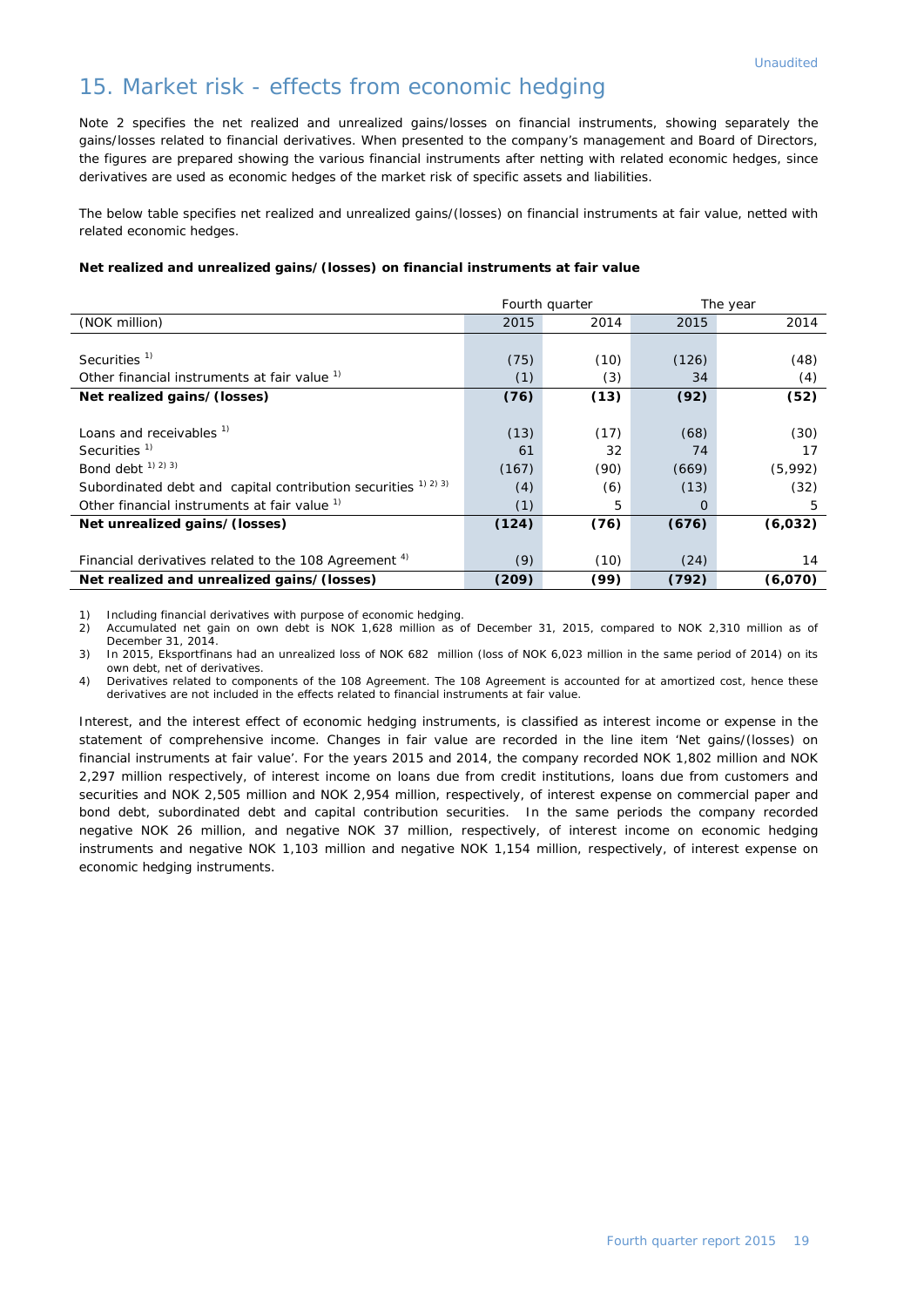#### 15. Market risk - effects from economic hedging

Note 2 specifies the net realized and unrealized gains/losses on financial instruments, showing separately the gains/losses related to financial derivatives. When presented to the company's management and Board of Directors, the figures are prepared showing the various financial instruments after netting with related economic hedges, since derivatives are used as economic hedges of the market risk of specific assets and liabilities.

The below table specifies net realized and unrealized gains/(losses) on financial instruments at fair value, netted with related economic hedges.

#### **Net realized and unrealized gains/(losses) on financial instruments at fair value**

|                                                                  |       | Fourth quarter |       | The year |
|------------------------------------------------------------------|-------|----------------|-------|----------|
| (NOK million)                                                    | 2015  | 2014           | 2015  | 2014     |
|                                                                  |       |                |       |          |
| Securities <sup>1)</sup>                                         | (75)  | (10)           | (126) | (48)     |
| Other financial instruments at fair value <sup>1)</sup>          | (1)   | (3)            | 34    | (4)      |
| Net realized gains/(losses)                                      | (76)  | (13)           | (92)  | (52)     |
|                                                                  |       |                |       |          |
| Loans and receivables <sup>1)</sup>                              | (13)  | (17)           | (68)  | (30)     |
| Securities $1$                                                   | 61    | 32             | 74    | 17       |
| Bond debt <sup>1) 2) 3)</sup>                                    | (167) | (90)           | (669) | (5,992)  |
| Subordinated debt and capital contribution securities 1) 2) 3)   | (4)   | (6)            | (13)  | (32)     |
| Other financial instruments at fair value <sup>1)</sup>          | (1)   | 5              | O     | 5        |
| Net unrealized gains/(losses)                                    | (124) | (76)           | (676) | (6,032)  |
|                                                                  |       |                |       |          |
| Financial derivatives related to the 108 Agreement <sup>4)</sup> | (9)   | (10)           | (24)  | 14       |
| Net realized and unrealized gains/(losses)                       | (209) | (99)           | (792) | (6,070)  |

1) Including financial derivatives with purpose of economic hedging.<br>2) Accumulated net gain on own debt is NOK 1,628 million as of

2) Accumulated net gain on own debt is NOK 1,628 million as of December 31, 2015, compared to NOK 2,310 million as of December 31, 2014.

3) In 2015, Eksportfinans had an unrealized loss of NOK 682 million (loss of NOK 6,023 million in the same period of 2014) on its own debt, net of derivatives.

4) Derivatives related to components of the 108 Agreement. The 108 Agreement is accounted for at amortized cost, hence these derivatives are not included in the effects related to financial instruments at fair value.

Interest, and the interest effect of economic hedging instruments, is classified as interest income or expense in the statement of comprehensive income. Changes in fair value are recorded in the line item 'Net gains/(losses) on financial instruments at fair value'. For the years 2015 and 2014, the company recorded NOK 1,802 million and NOK 2,297 million respectively, of interest income on loans due from credit institutions, loans due from customers and securities and NOK 2,505 million and NOK 2,954 million, respectively, of interest expense on commercial paper and bond debt, subordinated debt and capital contribution securities. In the same periods the company recorded negative NOK 26 million, and negative NOK 37 million, respectively, of interest income on economic hedging instruments and negative NOK 1,103 million and negative NOK 1,154 million, respectively, of interest expense on economic hedging instruments.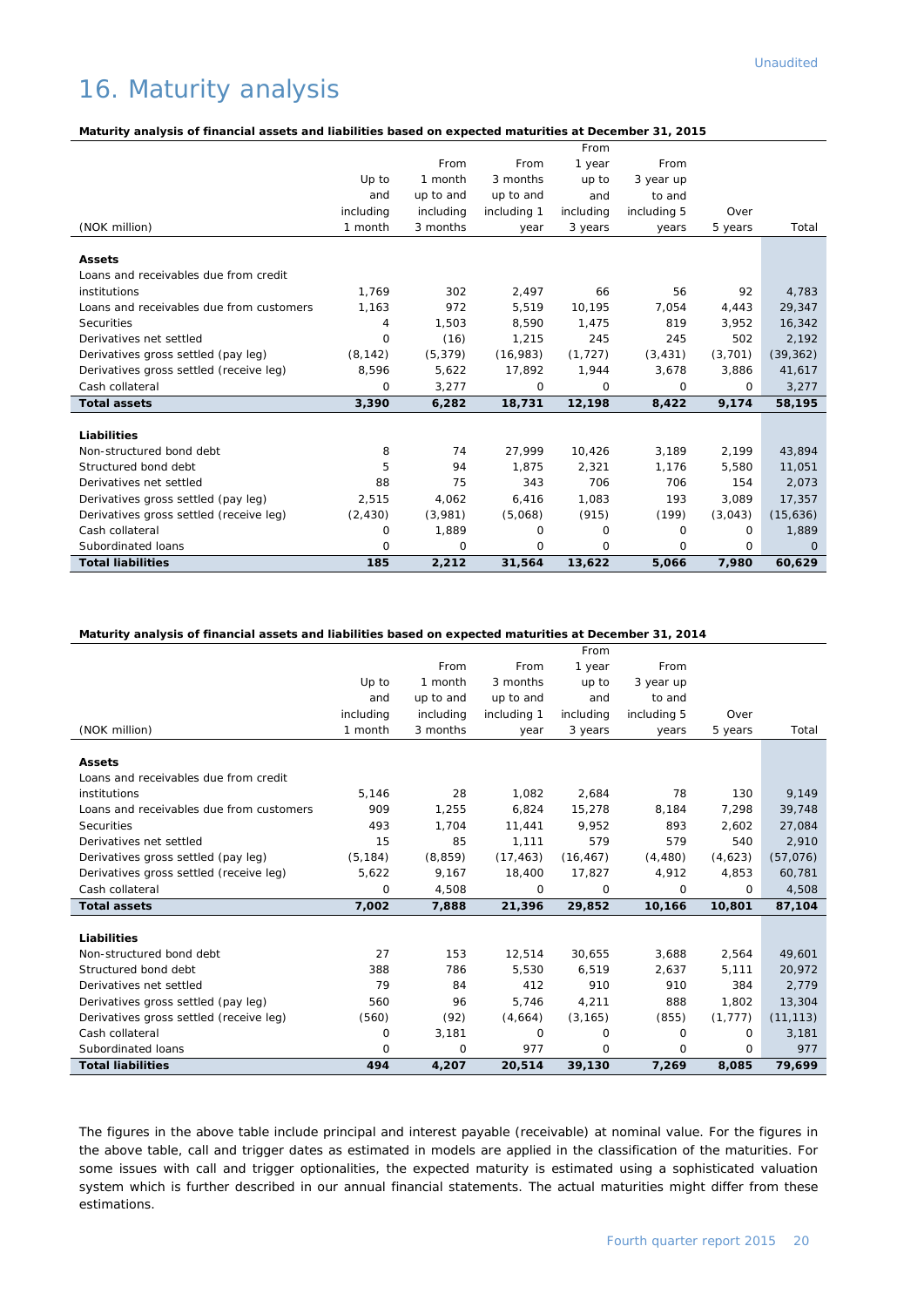### 16. Maturity analysis

#### **Maturity analysis of financial assets and liabilities based on expected maturities at December 31, 2015**

|                                          |           |           |             | From      |             |          |           |
|------------------------------------------|-----------|-----------|-------------|-----------|-------------|----------|-----------|
|                                          |           | From      | From        | 1 year    | From        |          |           |
|                                          | Up to     | 1 month   | 3 months    | up to     | 3 year up   |          |           |
|                                          | and       | up to and | up to and   | and       | to and      |          |           |
|                                          | including | including | including 1 | including | including 5 | Over     |           |
| (NOK million)                            | 1 month   | 3 months  | year        | 3 years   | years       | 5 years  | Total     |
| <b>Assets</b>                            |           |           |             |           |             |          |           |
| Loans and receivables due from credit    |           |           |             |           |             |          |           |
| institutions                             | 1.769     | 302       |             | 66        |             | 92       |           |
|                                          |           | 972       | 2,497       |           | 56          |          | 4,783     |
| Loans and receivables due from customers | 1,163     |           | 5,519       | 10,195    | 7,054       | 4,443    | 29,347    |
| Securities                               | 4         | 1,503     | 8,590       | 1,475     | 819         | 3,952    | 16,342    |
| Derivatives net settled                  | 0         | (16)      | 1,215       | 245       | 245         | 502      | 2,192     |
| Derivatives gross settled (pay leg)      | (8, 142)  | (5, 379)  | (16, 983)   | (1, 727)  | (3, 431)    | (3,701)  | (39, 362) |
| Derivatives gross settled (receive leg)  | 8,596     | 5,622     | 17,892      | 1,944     | 3,678       | 3,886    | 41,617    |
| Cash collateral                          | 0         | 3,277     | 0           | $\Omega$  | $\Omega$    | $\Omega$ | 3,277     |
| <b>Total assets</b>                      | 3,390     | 6,282     | 18,731      | 12,198    | 8,422       | 9,174    | 58,195    |
| Liabilities                              |           |           |             |           |             |          |           |
|                                          |           |           |             |           |             |          |           |
| Non-structured bond debt                 | 8         | 74        | 27.999      | 10.426    | 3.189       | 2.199    | 43.894    |
| Structured bond debt                     | 5         | 94        | 1,875       | 2,321     | 1,176       | 5,580    | 11,051    |
| Derivatives net settled                  | 88        | 75        | 343         | 706       | 706         | 154      | 2,073     |
| Derivatives gross settled (pay leg)      | 2,515     | 4,062     | 6,416       | 1.083     | 193         | 3.089    | 17,357    |
| Derivatives gross settled (receive leg)  | (2, 430)  | (3,981)   | (5,068)     | (915)     | (199)       | (3,043)  | (15,636)  |
| Cash collateral                          | 0         | 1,889     | 0           | 0         | $\Omega$    | 0        | 1,889     |
| Subordinated loans                       | 0         | 0         | 0           | $\Omega$  | 0           | 0        | $\Omega$  |
| <b>Total liabilities</b>                 | 185       | 2,212     | 31,564      | 13,622    | 5,066       | 7,980    | 60,629    |

#### **Maturity analysis of financial assets and liabilities based on expected maturities at December 31, 2014**

|                                          |           |           |             | From      |             |          |           |
|------------------------------------------|-----------|-----------|-------------|-----------|-------------|----------|-----------|
|                                          |           | From      | From        | 1 year    | From        |          |           |
|                                          | Up to     | 1 month   | 3 months    | up to     | 3 year up   |          |           |
|                                          | and       | up to and | up to and   | and       | to and      |          |           |
|                                          | including | including | including 1 | including | including 5 | Over     |           |
| (NOK million)                            | 1 month   | 3 months  | year        | 3 years   | years       | 5 years  | Total     |
| <b>Assets</b>                            |           |           |             |           |             |          |           |
| Loans and receivables due from credit    |           |           |             |           |             |          |           |
| institutions                             | 5,146     | 28        | 1,082       | 2,684     | 78          | 130      | 9,149     |
| Loans and receivables due from customers | 909       | 1,255     | 6,824       | 15,278    | 8,184       | 7,298    | 39,748    |
| Securities                               | 493       | 1.704     | 11,441      | 9.952     | 893         | 2.602    | 27,084    |
| Derivatives net settled                  | 15        | 85        | 1,111       | 579       | 579         | 540      | 2,910     |
| Derivatives gross settled (pay leg)      | (5, 184)  | (8, 859)  | (17, 463)   | (16, 467) | (4, 480)    | (4,623)  | (57,076)  |
| Derivatives gross settled (receive leg)  | 5,622     | 9,167     | 18,400      | 17,827    | 4,912       | 4,853    | 60,781    |
| Cash collateral                          | 0         | 4,508     | 0           | 0         | $\Omega$    | $\Omega$ | 4,508     |
| <b>Total assets</b>                      | 7,002     | 7,888     | 21,396      | 29,852    | 10,166      | 10,801   | 87,104    |
|                                          |           |           |             |           |             |          |           |
| Liabilities                              |           |           |             |           |             |          |           |
| Non-structured bond debt                 | 27        | 153       | 12,514      | 30,655    | 3,688       | 2,564    | 49,601    |
| Structured bond debt                     | 388       | 786       | 5.530       | 6.519     | 2,637       | 5,111    | 20,972    |
| Derivatives net settled                  | 79        | 84        | 412         | 910       | 910         | 384      | 2.779     |
| Derivatives gross settled (pay leg)      | 560       | 96        | 5,746       | 4,211     | 888         | 1,802    | 13,304    |
| Derivatives gross settled (receive leg)  | (560)     | (92)      | (4,664)     | (3, 165)  | (855)       | (1, 777) | (11, 113) |
| Cash collateral                          | 0         | 3,181     | 0           | 0         | 0           | $\Omega$ | 3,181     |
| Subordinated loans                       | 0         | 0         | 977         | $\Omega$  | $\Omega$    | $\Omega$ | 977       |
| <b>Total liabilities</b>                 | 494       | 4,207     | 20,514      | 39,130    | 7,269       | 8,085    | 79,699    |

The figures in the above table include principal and interest payable (receivable) at nominal value. For the figures in the above table, call and trigger dates as estimated in models are applied in the classification of the maturities. For some issues with call and trigger optionalities, the expected maturity is estimated using a sophisticated valuation system which is further described in our annual financial statements. The actual maturities might differ from these estimations.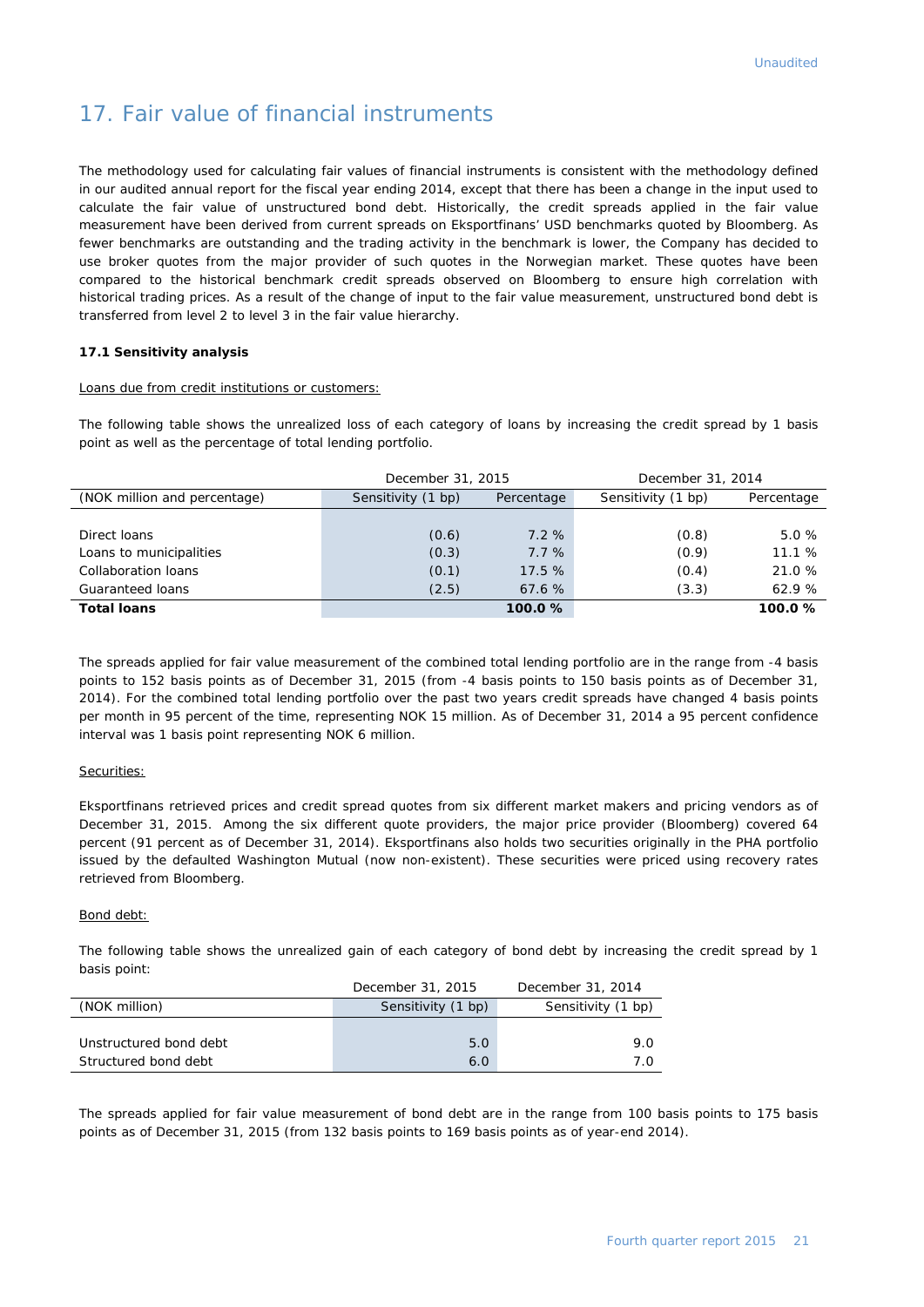### 17. Fair value of financial instruments

The methodology used for calculating fair values of financial instruments is consistent with the methodology defined in our audited annual report for the fiscal year ending 2014, except that there has been a change in the input used to calculate the fair value of unstructured bond debt. Historically, the credit spreads applied in the fair value measurement have been derived from current spreads on Eksportfinans' USD benchmarks quoted by Bloomberg. As fewer benchmarks are outstanding and the trading activity in the benchmark is lower, the Company has decided to use broker quotes from the major provider of such quotes in the Norwegian market. These quotes have been compared to the historical benchmark credit spreads observed on Bloomberg to ensure high correlation with historical trading prices. As a result of the change of input to the fair value measurement, unstructured bond debt is transferred from level 2 to level 3 in the fair value hierarchy.

#### **17.1 Sensitivity analysis**

#### Loans due from credit institutions or customers:

The following table shows the unrealized loss of each category of loans by increasing the credit spread by 1 basis point as well as the percentage of total lending portfolio.

|                              | December 31, 2015  |            | December 31, 2014  |            |  |
|------------------------------|--------------------|------------|--------------------|------------|--|
| (NOK million and percentage) | Sensitivity (1 bp) | Percentage | Sensitivity (1 bp) | Percentage |  |
|                              |                    |            |                    |            |  |
| Direct loans                 | (0.6)              | 7.2%       | (0.8)              | 5.0%       |  |
| Loans to municipalities      | (0.3)              | 7.7%       | (0.9)              | 11.1%      |  |
| Collaboration loans          | (0.1)              | 17.5%      | (0.4)              | 21.0 %     |  |
| Guaranteed loans             | (2.5)              | 67.6%      | (3.3)              | 62.9%      |  |
| <b>Total loans</b>           |                    | 100.0%     |                    | 100.0%     |  |

The spreads applied for fair value measurement of the combined total lending portfolio are in the range from -4 basis points to 152 basis points as of December 31, 2015 (from -4 basis points to 150 basis points as of December 31, 2014). For the combined total lending portfolio over the past two years credit spreads have changed 4 basis points per month in 95 percent of the time, representing NOK 15 million. As of December 31, 2014 a 95 percent confidence interval was 1 basis point representing NOK 6 million.

#### Securities:

Eksportfinans retrieved prices and credit spread quotes from six different market makers and pricing vendors as of December 31, 2015. Among the six different quote providers, the major price provider (Bloomberg) covered 64 percent (91 percent as of December 31, 2014). Eksportfinans also holds two securities originally in the PHA portfolio issued by the defaulted Washington Mutual (now non-existent). These securities were priced using recovery rates retrieved from Bloomberg.

#### Bond debt:

The following table shows the unrealized gain of each category of bond debt by increasing the credit spread by 1 basis point:

|                        | December 31, 2015  | December 31, 2014  |
|------------------------|--------------------|--------------------|
| (NOK million)          | Sensitivity (1 bp) | Sensitivity (1 bp) |
|                        |                    |                    |
| Unstructured bond debt | 5.0                | 9.0                |
| Structured bond debt   | 6.0                | 7.0                |

The spreads applied for fair value measurement of bond debt are in the range from 100 basis points to 175 basis points as of December 31, 2015 (from 132 basis points to 169 basis points as of year-end 2014).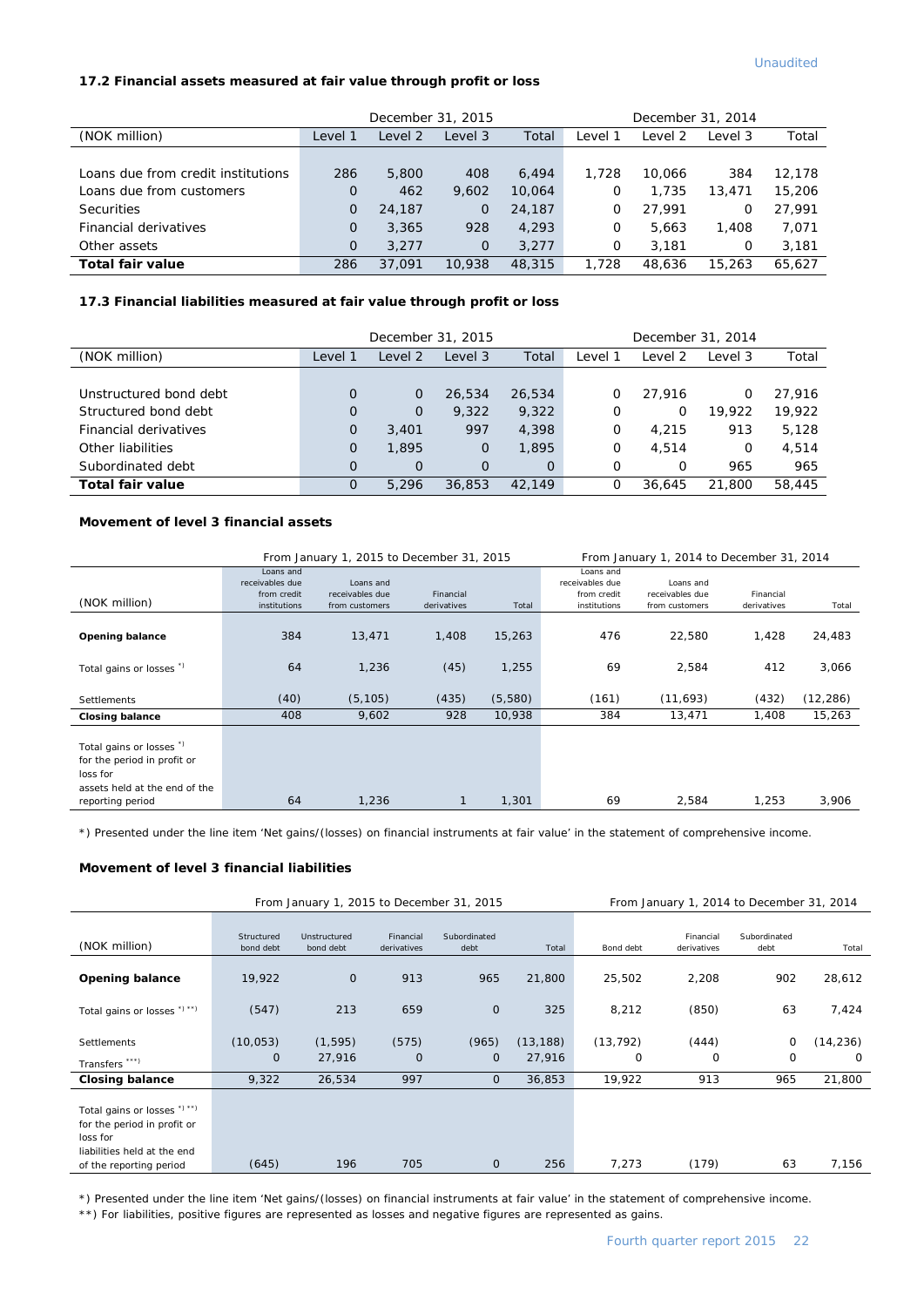#### **17.2 Financial assets measured at fair value through profit or loss**

|                                    |          | December 31, 2015 |                |        | December 31, 2014 |         |         |        |
|------------------------------------|----------|-------------------|----------------|--------|-------------------|---------|---------|--------|
| (NOK million)                      | Level 1  | Level 2           | Level 3        | Total  | Level 1           | Level 2 | Level 3 | Total  |
|                                    |          |                   |                |        |                   |         |         |        |
| Loans due from credit institutions | 286      | 5,800             | 408            | 6.494  | 1,728             | 10.066  | 384     | 12.178 |
| Loans due from customers           | 0        | 462               | 9.602          | 10.064 | 0                 | 1,735   | 13,471  | 15,206 |
| <b>Securities</b>                  | $\Omega$ | 24,187            | $\overline{O}$ | 24,187 | 0                 | 27.991  | O       | 27.991 |
| Financial derivatives              | $\Omega$ | 3,365             | 928            | 4,293  | 0                 | 5.663   | 1,408   | 7,071  |
| Other assets                       | $\Omega$ | 3.277             | $\mathbf{0}$   | 3.277  | 0                 | 3.181   | 0       | 3,181  |
| <b>Total fair value</b>            | 286      | 37,091            | 10,938         | 48,315 | 1,728             | 48,636  | 15,263  | 65.627 |

#### **17.3 Financial liabilities measured at fair value through profit or loss**

|                        |                | December 31, 2015 |                |          | December 31, 2014 |         |         |        |
|------------------------|----------------|-------------------|----------------|----------|-------------------|---------|---------|--------|
| (NOK million)          | Level 1        | Level 2           | Level 3        | Total    | ∟evel 1           | Level 2 | Level 3 | Total  |
|                        |                |                   |                |          |                   |         |         |        |
| Unstructured bond debt | $\Omega$       | 0                 | 26,534         | 26,534   | O                 | 27.916  | 0       | 27.916 |
| Structured bond debt   | 0              | $\mathbf 0$       | 9.322          | 9,322    | 0                 | 0       | 19,922  | 19,922 |
| Financial derivatives  | $\overline{O}$ | 3,401             | 997            | 4,398    | 0                 | 4,215   | 913     | 5.128  |
| Other liabilities      | 0              | 1,895             | $\overline{0}$ | 1,895    | 0                 | 4,514   | 0       | 4,514  |
| Subordinated debt      | $\Omega$       | $\overline{O}$    | $\Omega$       | $\Omega$ | $\Omega$          | O       | 965     | 965    |
| Total fair value       | 0              | 5,296             | 36,853         | 42.149   | 0                 | 36.645  | 21,800  | 58,445 |

#### **Movement of level 3 financial assets**

|                                                                                                                                    |                                                             | From January 1, 2015 to December 31, 2015      |                          | From January 1, 2014 to December 31, 2014 |                                                             |                                                |                          |           |
|------------------------------------------------------------------------------------------------------------------------------------|-------------------------------------------------------------|------------------------------------------------|--------------------------|-------------------------------------------|-------------------------------------------------------------|------------------------------------------------|--------------------------|-----------|
| (NOK million)                                                                                                                      | Loans and<br>receivables due<br>from credit<br>institutions | Loans and<br>receivables due<br>from customers | Financial<br>derivatives | Total                                     | Loans and<br>receivables due<br>from credit<br>institutions | Loans and<br>receivables due<br>from customers | Financial<br>derivatives | Total     |
| Opening balance                                                                                                                    | 384                                                         | 13,471                                         | 1.408                    | 15,263                                    | 476                                                         | 22,580                                         | 1,428                    | 24,483    |
| Total gains or losses <sup>*</sup> )                                                                                               | 64                                                          | 1,236                                          | (45)                     | 1,255                                     | 69                                                          | 2,584                                          | 412                      | 3,066     |
| Settlements                                                                                                                        | (40)                                                        | (5, 105)                                       | (435)                    | (5,580)                                   | (161)                                                       | (11,693)                                       | (432)                    | (12, 286) |
| <b>Closing balance</b>                                                                                                             | 408                                                         | 9,602                                          | 928                      | 10,938                                    | 384                                                         | 13,471                                         | 1,408                    | 15,263    |
| Total gains or losses <sup>"</sup><br>for the period in profit or<br>loss for<br>assets held at the end of the<br>reporting period | 64                                                          | 1,236                                          |                          | 1,301                                     | 69                                                          | 2,584                                          | 1,253                    | 3,906     |

\*) Presented under the line item 'Net gains/(losses) on financial instruments at fair value' in the statement of comprehensive income.

#### **Movement of level 3 financial liabilities**

|                                                                                                                                   | From January 1, 2015 to December 31, 2015 |                           |                          |                       |                     |                |                          | From January 1, 2014 to December 31, 2014 |                      |
|-----------------------------------------------------------------------------------------------------------------------------------|-------------------------------------------|---------------------------|--------------------------|-----------------------|---------------------|----------------|--------------------------|-------------------------------------------|----------------------|
| (NOK million)                                                                                                                     | Structured<br>bond debt                   | Unstructured<br>bond debt | Financial<br>derivatives | Subordinated<br>debt  | Total               | Bond debt      | Financial<br>derivatives | Subordinated<br>debt                      | Total                |
| <b>Opening balance</b>                                                                                                            | 19,922                                    | $\mathbf 0$               | 913                      | 965                   | 21,800              | 25,502         | 2,208                    | 902                                       | 28,612               |
| Total gains or losses *) **)                                                                                                      | (547)                                     | 213                       | 659                      | $\mathbf{0}$          | 325                 | 8,212          | (850)                    | 63                                        | 7,424                |
| <b>Settlements</b><br>Transfers ***)                                                                                              | (10, 053)<br>0                            | (1, 595)<br>27,916        | (575)<br>$\mathbf 0$     | (965)<br>$\mathbf{O}$ | (13, 188)<br>27,916 | (13, 792)<br>0 | (444)<br>0               | 0<br>0                                    | (14, 236)<br>$\circ$ |
| <b>Closing balance</b>                                                                                                            | 9,322                                     | 26,534                    | 997                      | $\mathbf 0$           | 36,853              | 19,922         | 913                      | 965                                       | 21,800               |
| Total gains or losses *) **)<br>for the period in profit or<br>loss for<br>liabilities held at the end<br>of the reporting period | (645)                                     | 196                       | 705                      | $\mathbf{0}$          | 256                 | 7,273          | (179)                    | 63                                        | 7,156                |

\*) Presented under the line item 'Net gains/(losses) on financial instruments at fair value' in the statement of comprehensive income.

\*\*) For liabilities, positive figures are represented as losses and negative figures are represented as gains.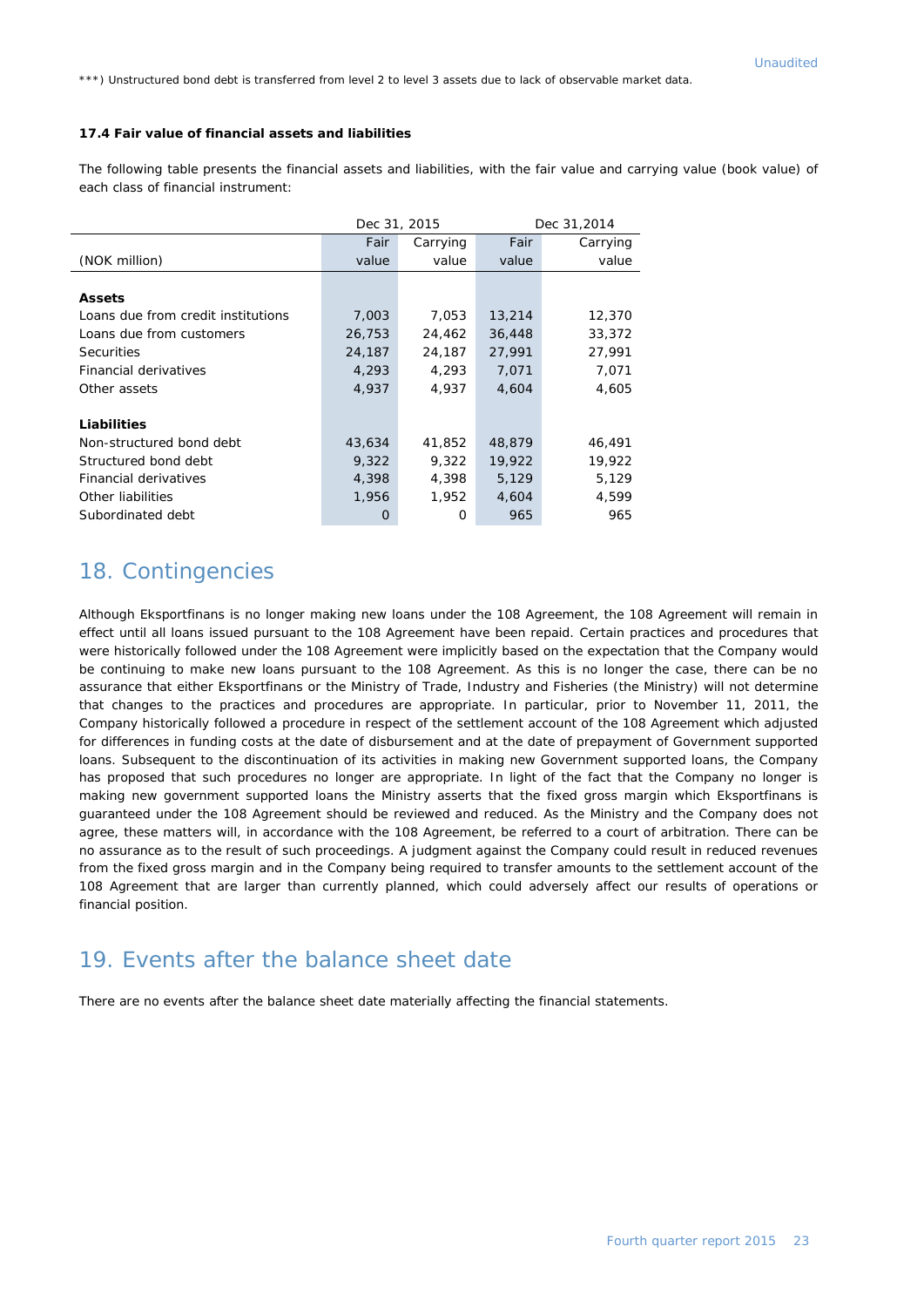\*\*\*) Unstructured bond debt is transferred from level 2 to level 3 assets due to lack of observable market data.

#### **17.4 Fair value of financial assets and liabilities**

The following table presents the financial assets and liabilities, with the fair value and carrying value (book value) of each class of financial instrument:

|                                    |        | Dec 31, 2015 | Dec 31,2014 |          |  |
|------------------------------------|--------|--------------|-------------|----------|--|
|                                    | Fair   | Carrying     | Fair        | Carrying |  |
| (NOK million)                      | value  | value        | value       | value    |  |
|                                    |        |              |             |          |  |
| <b>Assets</b>                      |        |              |             |          |  |
| Loans due from credit institutions | 7,003  | 7,053        | 13,214      | 12,370   |  |
| Loans due from customers           | 26,753 | 24,462       | 36,448      | 33,372   |  |
| <b>Securities</b>                  | 24,187 | 24,187       | 27,991      | 27,991   |  |
| Financial derivatives              | 4,293  | 4,293        | 7,071       | 7,071    |  |
| Other assets                       | 4,937  | 4,937        | 4,604       | 4,605    |  |
|                                    |        |              |             |          |  |
| Liabilities                        |        |              |             |          |  |
| Non-structured bond debt           | 43,634 | 41,852       | 48,879      | 46,491   |  |
| Structured bond debt               | 9,322  | 9,322        | 19,922      | 19,922   |  |
| Financial derivatives              | 4,398  | 4,398        | 5,129       | 5,129    |  |
| Other liabilities                  | 1,956  | 1,952        | 4,604       | 4,599    |  |
| Subordinated debt                  | O      | O            | 965         | 965      |  |

#### 18. Contingencies

Although Eksportfinans is no longer making new loans under the 108 Agreement, the 108 Agreement will remain in effect until all loans issued pursuant to the 108 Agreement have been repaid. Certain practices and procedures that were historically followed under the 108 Agreement were implicitly based on the expectation that the Company would be continuing to make new loans pursuant to the 108 Agreement. As this is no longer the case, there can be no assurance that either Eksportfinans or the Ministry of Trade, Industry and Fisheries (the Ministry) will not determine that changes to the practices and procedures are appropriate. In particular, prior to November 11, 2011, the Company historically followed a procedure in respect of the settlement account of the 108 Agreement which adjusted for differences in funding costs at the date of disbursement and at the date of prepayment of Government supported loans. Subsequent to the discontinuation of its activities in making new Government supported loans, the Company has proposed that such procedures no longer are appropriate. In light of the fact that the Company no longer is making new government supported loans the Ministry asserts that the fixed gross margin which Eksportfinans is guaranteed under the 108 Agreement should be reviewed and reduced. As the Ministry and the Company does not agree, these matters will, in accordance with the 108 Agreement, be referred to a court of arbitration. There can be no assurance as to the result of such proceedings. A judgment against the Company could result in reduced revenues from the fixed gross margin and in the Company being required to transfer amounts to the settlement account of the 108 Agreement that are larger than currently planned, which could adversely affect our results of operations or financial position.

#### 19. Events after the balance sheet date

There are no events after the balance sheet date materially affecting the financial statements.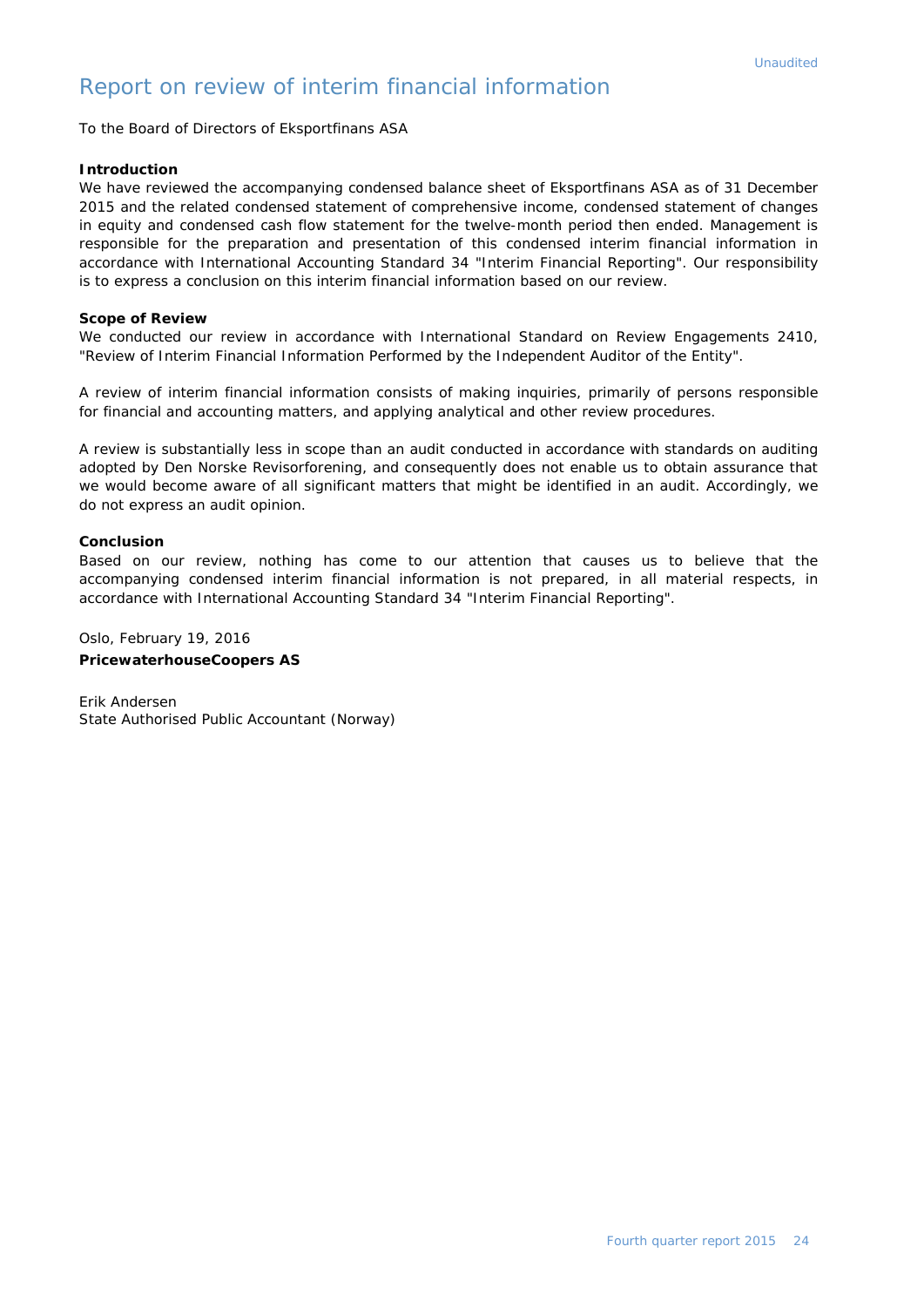#### Report on review of interim financial information

To the Board of Directors of Eksportfinans ASA

#### *Introduction*

*We have reviewed the accompanying condensed balance sheet of Eksportfinans ASA as of 31 December 2015 and the related condensed statement of comprehensive income, condensed statement of changes in equity and condensed cash flow statement for the twelve-month period then ended. Management is*  responsible for the preparation and presentation of this condensed interim financial information in *accordance with International Accounting Standard 34 "Interim Financial Reporting". Our responsibility is to express a conclusion on this interim financial information based on our review.*

#### *Scope of Review*

*We conducted our review in accordance with International Standard on Review Engagements 2410, "Review of Interim Financial Information Performed by the Independent Auditor of the Entity".* 

*A review of interim financial information consists of making inquiries, primarily of persons responsible for financial and accounting matters, and applying analytical and other review procedures.* 

*A review is substantially less in scope than an audit conducted in accordance with standards on auditing adopted by Den Norske Revisorforening, and consequently does not enable us to obtain assurance that we would become aware of all significant matters that might be identified in an audit. Accordingly, we do not express an audit opinion.*

#### *Conclusion*

Based on our review, nothing has come to our attention that causes us to believe that the *accompanying condensed interim financial information is not prepared, in all material respects, in accordance with International Accounting Standard 34 "Interim Financial Reporting".*

Oslo, February 19, 2016 **PricewaterhouseCoopers AS**

Erik Andersen State Authorised Public Accountant (Norway)